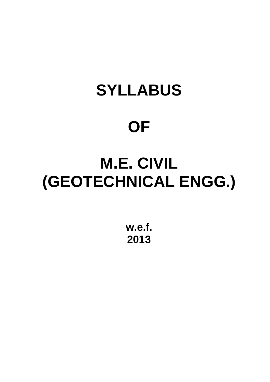# **SYLLABUS**

# **OF**

# **M.E. CIVIL (GEOTECHNICAL ENGG.)**

**w.e.f. 2013**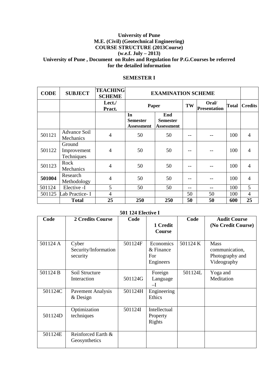## **University of Pune M.E. (Civil) (Geotechnical Engineering) COURSE STRUCTURE (2013Course) (w.e.f. July – 2013) University of Pune , Document on Rules and Regulation for P.G.Courses be referred for the detailed information**

#### **SEMESTER I**

| <b>CODE</b> | <b>SUBJECT</b>                      | <b>TEACHING</b><br><b>SCHEME</b> |                                            | <b>EXAMINATION SCHEME</b>                   |    |                              |              |                |
|-------------|-------------------------------------|----------------------------------|--------------------------------------------|---------------------------------------------|----|------------------------------|--------------|----------------|
|             |                                     | Lect./<br>Pract.                 | Paper                                      |                                             | TW | Oral/<br><b>Presentation</b> | <b>Total</b> | <b>Credits</b> |
|             |                                     |                                  | In<br><b>Semester</b><br><b>Assessment</b> | End<br><b>Semester</b><br><b>Assessment</b> |    |                              |              |                |
| 501121      | Advance Soil<br>Mechanics           | $\overline{4}$                   | 50                                         | 50                                          |    |                              | 100          | $\overline{4}$ |
| 501122      | Ground<br>Improvement<br>Techniques | $\overline{4}$                   | 50                                         | 50                                          | -- |                              | 100          | 4              |
| 501123      | Rock<br>Mechanics                   | $\overline{4}$                   | 50                                         | 50                                          | -- |                              | 100          | $\overline{4}$ |
| 501004      | Research<br>Methodology             | $\overline{4}$                   | 50                                         | 50                                          |    |                              | 100          | $\overline{4}$ |
| 501124      | Elective -I                         | 5                                | 50                                         | 50                                          | -- |                              | 100          | 5              |
| 501125      | Lab Practice-I                      | $\overline{4}$                   |                                            |                                             | 50 | 50                           | 100          | $\overline{4}$ |
|             | <b>Total</b>                        | 25                               | 250                                        | 250                                         | 50 | 50                           | 600          | 25             |

## **501 124 Elective I**

| Code     | 2 Credits Course         | Code    |              | Code     | <b>Audit Course</b> |
|----------|--------------------------|---------|--------------|----------|---------------------|
|          |                          |         | 1 Credit     |          | (No Credit Course)  |
|          |                          |         | Course       |          |                     |
|          |                          |         |              |          |                     |
| 501124 A | Cyber                    | 501124F | Economics    | 501124 K | <b>Mass</b>         |
|          | Security/Information     |         | & Finance    |          | communication,      |
|          | security                 |         | For          |          | Photography and     |
|          |                          |         | Engineers    |          | Videography         |
| 501124 B | Soil Structure           |         | Foreign      | 501124L  | Yoga and            |
|          | Interaction              | 501124G | Language     |          | Meditation          |
|          |                          |         | $-I$         |          |                     |
| 501124C  | <b>Pavement Analysis</b> | 501124H | Engineering  |          |                     |
|          | & Design                 |         | Ethics       |          |                     |
|          |                          |         |              |          |                     |
|          | Optimization             | 501124I | Intellectual |          |                     |
| 501124D  | techniques               |         | Property     |          |                     |
|          |                          |         | Rights       |          |                     |
|          |                          |         |              |          |                     |
| 501124E  | Reinforced Earth &       |         |              |          |                     |
|          | Geosynthetics            |         |              |          |                     |
|          |                          |         |              |          |                     |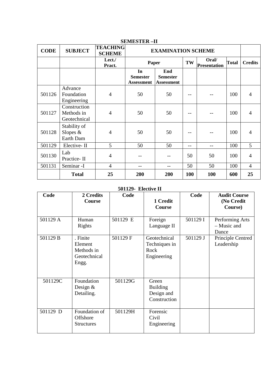| <b>CODE</b> | <b>SUBJECT</b>                             | <b>TEACHING</b><br><b>SCHEME</b> | <b>EXAMINATION SCHEME</b>                  |                                             |     |                              |              |                |
|-------------|--------------------------------------------|----------------------------------|--------------------------------------------|---------------------------------------------|-----|------------------------------|--------------|----------------|
|             |                                            | Lect./<br>Pract.                 | Paper                                      |                                             | TW  | Oral/<br><b>Presentation</b> | <b>Total</b> | <b>Credits</b> |
|             |                                            |                                  | In<br><b>Semester</b><br><b>Assessment</b> | End<br><b>Semester</b><br><b>Assessment</b> |     |                              |              |                |
| 501126      | Advance<br>Foundation<br>Engineering       | 4                                | 50                                         | 50                                          |     |                              | 100          | $\overline{4}$ |
| 501127      | Construction<br>Methods in<br>Geotechnical | 4                                | 50                                         | 50                                          |     |                              | 100          | $\overline{4}$ |
| 501128      | Stability of<br>Slopes $\&$<br>Earth Dam   | 4                                | 50                                         | 50                                          |     |                              | 100          | 4              |
| 501129      | Elective-II                                | 5                                | 50                                         | 50                                          | --  | --                           | 100          | 5              |
| 501130      | Lab<br>Practice-II                         | $\overline{4}$                   | --                                         |                                             | 50  | 50                           | 100          | $\overline{4}$ |
| 501131      | Seminar -I                                 | $\overline{4}$                   | --                                         | --                                          | 50  | 50                           | 100          | $\overline{4}$ |
|             | <b>Total</b>                               | 25                               | 200                                        | 200                                         | 100 | 100                          | 600          | 25             |

## **SEMESTER –II**

## **501129- Elective II**

| Code     | 2 Credits<br>Course                                        | Code     | 1 Credit                                               | Code     | <b>Audit Course</b><br>(No Credit       |
|----------|------------------------------------------------------------|----------|--------------------------------------------------------|----------|-----------------------------------------|
|          |                                                            |          | Course                                                 |          | Course)                                 |
| 501129 A | Human<br><b>Rights</b>                                     | 501129 E | Foreign<br>Language II                                 | 501129 I | Performing Arts<br>- Music and<br>Dance |
| 501129 B | . Finite<br>Element<br>Methods in<br>Geotechnical<br>Engg. | 501129 F | Geotechnical<br>Techniques in<br>Rock<br>Engineering   | 501129 J | Principle Centred<br>Leadership         |
| 501129C  | Foundation<br>Design $&$<br>Detailing.                     | 501129G  | Green<br><b>Building</b><br>Design and<br>Construction |          |                                         |
| 501129 D | Foundation of<br>Offshore<br><b>Structures</b>             | 501129H  | Forensic<br>Civil<br>Engineering                       |          |                                         |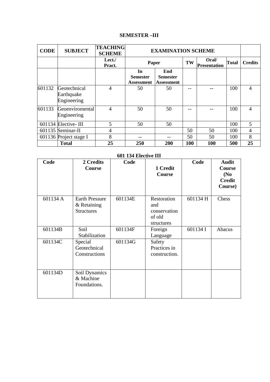## **SEMESTER –III**

| <b>CODE</b> | <b>SUBJECT</b>                            | <b>TEACHING</b><br><b>SCHEME</b> |                                     | <b>EXAMINATION SCHEME</b>                   |     |                              |              |                |
|-------------|-------------------------------------------|----------------------------------|-------------------------------------|---------------------------------------------|-----|------------------------------|--------------|----------------|
|             |                                           | Lect./<br>Pract.                 | Paper                               |                                             | TW  | Oral/<br><b>Presentation</b> | <b>Total</b> | <b>Credits</b> |
|             |                                           |                                  | In<br><b>Semester</b><br>Assessment | End<br><b>Semester</b><br><b>Assessment</b> |     |                              |              |                |
| 601132      | Geotechnical<br>Earthquake<br>Engineering | $\overline{4}$                   | 50                                  | 50                                          |     |                              | 100          | $\overline{4}$ |
| 601133      | Geoenviromental<br>Engineering            | $\overline{4}$                   | 50                                  | 50                                          |     |                              | 100          | $\overline{4}$ |
|             | $601134$ Elective-III                     | 5                                | 50                                  | 50                                          |     |                              | 100          | 5              |
|             | 601135 Seminar-II                         | 4                                |                                     |                                             | 50  | 50                           | 100          | 4              |
|             | 601136 Project stage I                    | 8                                | --                                  |                                             | 50  | 50                           | 100          | 8              |
|             | <b>Total</b>                              | 25                               | 250                                 | 200                                         | 100 | 100                          | 500          | 25             |

| Code     | 2 Credits<br>Course                                       | Code    | 1 Credit<br><b>Course</b>                                  | Code     | <b>Audit</b><br>Course<br>(N <sub>0</sub> )<br><b>Credit</b><br>Course) |
|----------|-----------------------------------------------------------|---------|------------------------------------------------------------|----------|-------------------------------------------------------------------------|
| 601134 A | <b>Earth Pressure</b><br>& Retaining<br><b>Structures</b> | 601134E | Restoration<br>and<br>conservation<br>of old<br>structures | 601134 H | Chess                                                                   |
| 601134B  | Soil<br>Stabilization                                     | 601134F | Foreign<br>Language                                        | 601134 I | Abacus                                                                  |
| 601134C  | Special<br>Geotechnical<br>Constructions                  | 601134G | Safety<br>Practices in<br>construction.                    |          |                                                                         |
| 601134D  | Soil Dynamics<br>& Machine<br>Foundations.                |         |                                                            |          |                                                                         |

#### **601 134 Elective III**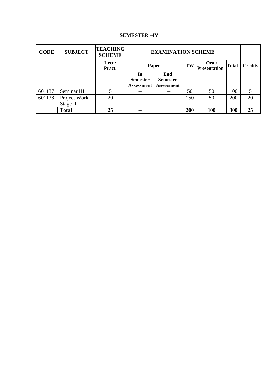## **SEMESTER –IV**

| <b>CODE</b> | <b>SUBJECT</b> | <b>TEACHING</b><br><b>SCHEME</b> |                   | <b>EXAMINATION SCHEME</b> |     |                              |              |                |
|-------------|----------------|----------------------------------|-------------------|---------------------------|-----|------------------------------|--------------|----------------|
|             |                | Lect./<br>Pract.                 | Paper             |                           | TW  | Oral/<br><b>Presentation</b> | <b>Total</b> | <b>Credits</b> |
|             |                |                                  | In                | End                       |     |                              |              |                |
|             |                |                                  | <b>Semester</b>   | <b>Semester</b>           |     |                              |              |                |
|             |                |                                  | <b>Assessment</b> | <b>Assessment</b>         |     |                              |              |                |
| 601137      | Seminar III    | 5                                |                   |                           | 50  | 50                           | 100          | 5              |
| 601138      | Project Work   | 20                               |                   | ---                       | 150 | 50                           | 200          | 20             |
|             | Stage II       |                                  |                   |                           |     |                              |              |                |
|             | <b>Total</b>   | 25                               | --                |                           | 200 | 100                          | 300          | 25             |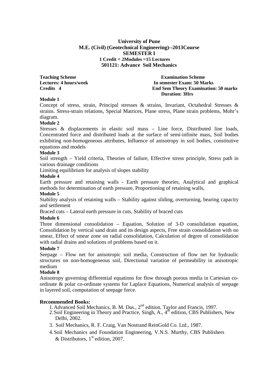#### **University of Pune M.E. (Civil) (Geotechnical Engineering)--2013Course SEMESTER I 1 Credit = 2Modules =15 Lectures 501121: Advance Soil Mechanics**

**Teaching Scheme Examination Scheme Examination Scheme Lectures: 4 hours/week In semester Exam: 50 Marks End Sem Theory Examination: 50 marks Duration: 3Hrs** 

#### **Module 1**

Concept of stress, strain, Principal stresses & strains, Invariant, Octahedral Stresses & strains. Stress-strain relations, Special Matrices, Plane stress, Plane strain problems, Mohr's diagram.

#### **Module 2**

Stresses & displacements in elastic soil mass – Line force, Distributed line loads, Concentrated force and distributed loads at the surface of semi-infinite mass, Soil bodies exhibiting non-homogeneous attributes, Influence of anisotropy in soil bodies, constitutive equations and models

#### **Module 3**

Soil strength – Yield criteria, Theories of failure, Effective stress principle, Stress path in various drainage conditions

Limiting equilibrium for analysis of slopes stability

## **Module 4**

Earth pressure and retaining walls - Earth pressure theories, Analytical and graphical methods for determination of earth pressure, Proportioning of retaining walls,

#### **Module 5**

Stability analysis of retaining walls – Stability against sliding, overturning, bearing capacity and settlement

Braced cuts – Lateral earth pressure in cuts, Stability of braced cuts

#### **Module 6**

Three dimensional consolidation – Equation, Solution of 3-D consolidation equation, Consolidation by vertical sand drain and its design aspects, Free strain consolidation with no smear, Effect of smear zone on radial consolidation, Calculation of degree of consolidation with radial drains and solutions of problems based on it.

## **Module 7**

Seepage – Flow net for anisotropic soil media, Construction of flow net for hydraulic structures on non-homogeneous soil, Directional variation of permeability in anisotropic medium

#### **Module 8**

Anisotropy governing differential equations for flow through porous media in Cartesian coordinate & polar co-ordinate systems for Laplace Equations, Numerical analysis of seepage in layered soil, computation of seepage force.

- 1. Advanced Soil Mechanics, B. M. Das., 2<sup>nd</sup> edition. Taylor and Francis, 1997.
- 2. Soil Engineering in Theory and Practice, Singh, A., 4<sup>th</sup> edition, CBS Publishers, New Delhi, 2002.
- 3. Soil Mechanics, R. F. Craig, Van Nostrand ReinGold Co. Ltd., 1987.
- 4.Soil Mechanics and Foundation Engineering, V.N.S. Murthy, CBS Publishers & Distributors,  $1<sup>st</sup>$  edition, 2007.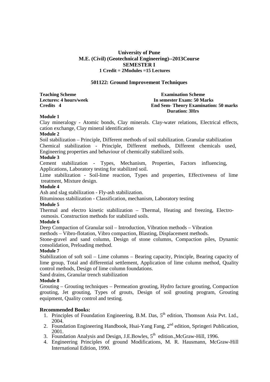#### **501122: Ground Improvement Techniques**

**Teaching Scheme Examination Scheme Examination Scheme** 

**Lectures: 4 hours/week In semester Exam: 50 Marks Credits 4 End Sem- Theory Examination: 50 marks Duration: 3Hrs** 

#### **Module 1**

Clay mineralogy - Atomic bonds, Clay minerals. Clay-water relations, Electrical effects, cation exchange, Clay mineral identification

#### **Module 2**

Soil stabilization – Principle, Different methods of soil stabilization. Granular stabilization Chemical stabilization - Principle, Different methods, Different chemicals used, Engineering properties and behaviour of chemically stabilized soils.

## **Module 3**

Cement stabilization - Types, Mechanism, Properties, Factors influencing, Applications, Laboratory testing for stabilized soil.

Lime stabilization - Soil-lime reaction, Types and properties, Effectiveness of lime treatment, Mixture design.

#### **Module 4**

Ash and slag stabilization - Fly-ash stabilization.

Bituminous stabilization - Classification, mechanism, Laboratory testing

#### **Module 5**

Thermal and electro kinetic stabilization – Thermal, Heating and freezing, Electroosmosis. Construction methods for stabilized soils.

#### **Module 6**

Deep Compaction of Granular soil – Introduction, Vibration methods – Vibration

methods – Vibro-flotation, Vibro compaction, Blasting, Displacement methods.

Stone-gravel and sand column, Design of stone columns, Compaction piles, Dynamic consolidation, Preloading method.

#### **Module 7**

Stabilization of soft soil – Lime columns – Bearing capacity, Principle, Bearing capacity of lime group, Total and differential settlement, Application of lime column method, Quality control methods, Design of lime column foundations.

Sand drains, Granular trench stabilization

#### **Module 8**

Grouting – Grouting techniques – Permeation grouting, Hydro facture grouting, Compaction grouting, Jet grouting, Types of grouts, Design of soil grouting program, Grouting equipment, Quality control and testing.

- 1. Principles of Foundation Engineering, B.M. Das,  $5<sup>th</sup>$  edition, Thomson Asia Pvt. Ltd., 2004.
- 2. Foundation Engineering Handbook, Hsai-Yang Fang, 2<sup>nd</sup> edition, Springeri Publication, 2001.
- 3. Foundation Analysis and Design, J.E.Bowles,  $5<sup>th</sup>$  edition., McGraw-Hill, 1996.
- 4. Engineering Principles of ground Modifications, M. R. Hausmann, McGraw-Hill International Edition, 1990.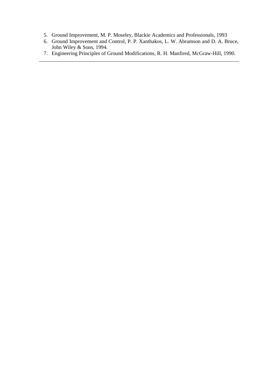- 5. Ground Improvement, M. P. Moseley, Blackie Academics and Professionals, 1993
- 6. Ground Improvement and Control, P. P. Xanthakos, L. W. Abramson and D. A. Bruce, John Wiley & Sons, 1994.
- 7. Engineering Principles of Ground Modifications, R. H. Manfired, McGraw-Hill, 1990.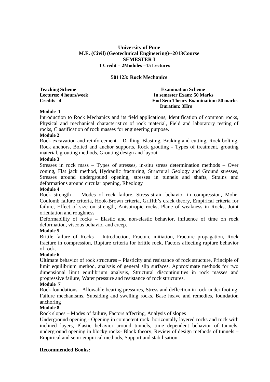#### **501123: Rock Mechanics**

**Teaching Scheme Examination Scheme Examination Scheme** 

**Lectures: 4 hours/week 1.1 In semester Exam: 50 Marks Credits 4 End Sem Theory Examination: 50 marks Duration: 3Hrs** 

#### **Module 1**

Introduction to Rock Mechanics and its field applications, Identification of common rocks, Physical and mechanical characteristics of rock material, Field and laboratory testing of rocks, Classification of rock masses for engineering purpose.

#### **Module 2**

Rock excavation and reinforcement – Drilling, Blasting, Braking and cutting, Rock bolting, Rock anchors, Bolted and anchor supports, Rock grouting - Types of treatment, grouting material, grouting methods, Grouting design and layout

## **Module 3**

Stresses in rock mass – Types of stresses, in-situ stress determination methods – Over coning, Flat jack method, Hydraulic fracturing, Structural Geology and Ground stresses, Stresses around underground opening, stresses in tunnels and shafts, Strains and deformations around circular opening, Rheology

#### **Module 4**

Rock strength - Modes of rock failure, Stress-strain behavior in compression, Mohr-Coulomb failure criteria, Hook-Brown criteria, Griffth's crack theory, Empirical criteria for failure, Effect of size on strength, Anisotropic rocks, Plane of weakness in Rocks, Joint orientation and roughness

Deformability of rocks – Elastic and non-elastic behavior, influence of time on rock deformation, viscous behavior and creep.

#### **Module 5**

Brittle failure of Rocks – Introduction, Fracture initiation, Fracture propagation, Rock fracture in compression, Rupture criteria for brittle rock, Factors affecting rupture behavior of rock.

#### **Module 6**

Ultimate behavior of rock structures – Plasticity and resistance of rock structure, Principle of limit equilibrium method, analysis of general slip surfaces, Approximate methods for two dimensional limit equilibrium analysis, Structural discontinuities in rock masses and progressive failure, Water pressure and resistance of rock structures.

#### **Module 7**

Rock foundations - Allowable bearing pressures, Stress and deflection in rock under footing, Failure mechanisms, Subsiding and swelling rocks, Base heave and remedies, foundation anchoring

#### **Module 8**

Rock slopes – Modes of failure, Factors affecting, Analysis of slopes

Underground opening - Opening in competent rock, horizontally layered rocks and rock with inclined layers, Plastic behavior around tunnels, time dependent behavior of tunnels, underground opening in blocky rocks- Block theory, Review of design methods of tunnels – Empirical and semi-empirical methods, Support and stabilisation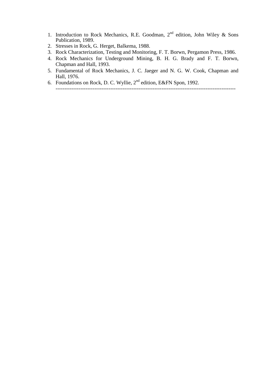- 1. Introduction to Rock Mechanics, R.E. Goodman,  $2<sup>nd</sup>$  edition, John Wiley & Sons Publication, 1989.
- 2. Stresses in Rock, G. Herget, Balkema, 1988.
- 3. Rock Characterization, Testing and Monitoring, F. T. Borwn, Pergamon Press, 1986.
- 4. Rock Mechanics for Underground Mining, B. H. G. Brady and F. T. Borwn, Chapman and Hall, 1993.
- 5. Fundamental of Rock Mechanics, J. C. Jaeger and N. G. W. Cook, Chapman and Hall, 1976.
- 6. Foundations on Rock, D. C. Wyllie,  $2<sup>nd</sup>$  edition, E&FN Spon, 1992. ------------------------------------------------------------------------------------------------------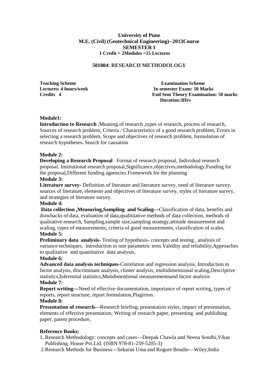#### **501004: RESEARCH METHODOLOGY**

**Teaching Scheme Examination Scheme**<br> **Examination Scheme**<br> **Examination Scheme**<br> **Examination Scheme**<br> **Examination Scheme Let us a hourse Exam: 50 Marks Credits 4 End Sem Theory Examination: 50 marks Duration:3Hrs** 

#### **Module1:**

**Introduction to Research**, Meaning of research, types of research, process of research, Sources of research problem, Criteria / Characteristics of a good research problem, Errors in selecting a research problem, Scope and objectives of research problem, formulation of research hypotheses**.** Search for causation

#### **Module 2:**

**Developing a Research Proposal** Format of research proposal, Individual research proposal, Institutional research proposal,Significance,objectives,methodology,Funding for the proposal,Different funding agaencies.Framework for the planning

#### **Module 3:**

**Literature survey-** Definition of literature and literature survey, need of literature survey, sources of literature, elements and objectives of literature survey, styles of literature survey, and strategies of literature survey.

#### **Module 4:**

 **Data collection ,Measuring,Sampling and Scaling—**Classification of data, benefits and drawbacks of data, evaluation of data,qualititative methods of data collection, methods of qualitative research, Sampling,sample size,sampling strategy,attitude measurement and scaling, types of measurements, criteria of good measurements, classification of scales. **Module 5:** 

**Preliminary data analysis-** Testing of hypothesis- concepts and testing , analysis of variance techniques, introduction to non parametric tests.Valedity and reliability,Approaches to qualitative and quantitative data analysis,

#### **Module 6:**

**Advanced data analysis techniques-**Correlation and regression analysis, Introduction to factor analysis, discriminant analysis, cluster analysis, multidimensional scaling,Descriptive statistics,Inferential statistics,Mutidimentional measurementnand factor analysis **Module 7:** 

**Report writing—Need of effective documentation, importance of report writing, types of** reports, report structure, report formulation,Plagirism.

#### **Module 8:**

**Presentation of research---**Research briefing, presentation styles, impact of presentation, elements of effective presentation, Writing of research paper, presenting and publishing paper, patent procedure,

#### **Reference Books:**

- 1**.** Research Methodology: concepts and cases—Deepak Chawla and Neena Sondhi,Vikas Publishing House Pvt.Ltd. (ISBN 978-81-259-5205-3)
- 2.Research Methods for Business—Sekaran Uma and Rogure Boudie—Wiley,India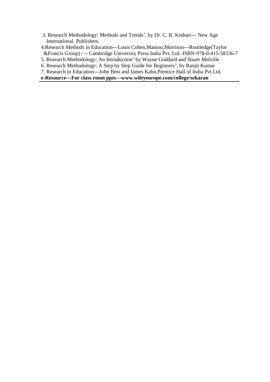- 3. Research Methodology: Methods and Trends', by Dr. C. R. Kothari--- New Age International Publishers.
- 4.Research Methods in Education---Louis Cohen,Manion,Morrison---Routledge(Taylor &Francis Group) / -- Cambridge University Press India Pvt. Ltd.-ISBN-978-0-415-58336-7
- 5. Research Methodology: An Introduction' by Wayne Goddard and Stuart Melville
- 6. Research Methodology: A Step by Step Guide for Beginners', by Ranjit Kumar
- 7. Research in Education---John Best and James Kahn,Prentice Hall of India Pvt.Ltd.

## **e-Resource---For class room ppts---www.wileyeurope.com/college/sekaran**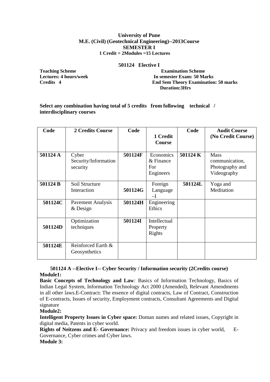#### **501124 Elective I**

**Teaching Scheme**  Teaching Scheme **Examination Scheme Lectures: 4 hours/week 1.1 In semester Exam: 50 Marks Credits 4.1 In semester Exam: 50 Marks 2.1 In semester Exam: 50 Marks 2.1 In semester Exam: 50 Marks 2.1 In semester Exam: 50 Marks 2.1 In semester Examination End Sem Theory Examination: 50 marks Duration:3Hrs** 

#### **Select any combination having total of 5 credits from following technical / interdisciplinary courses**

| Code     | <b>2 Credits Course</b>                   | Code    | 1 Credit<br>Course                         | Code     | <b>Audit Course</b><br>(No Credit Course)                       |
|----------|-------------------------------------------|---------|--------------------------------------------|----------|-----------------------------------------------------------------|
| 501124 A | Cyber<br>Security/Information<br>security | 501124F | Economics<br>& Finance<br>For<br>Engineers | 501124 K | <b>Mass</b><br>communication,<br>Photography and<br>Videography |
| 501124 B | Soil Structure<br>Interaction             | 501124G | Foreign<br>Language<br>$-I$                | 501124L  | Yoga and<br>Meditation                                          |
| 501124C  | Pavement Analysis<br>$&$ Design           | 501124H | Engineering<br>Ethics                      |          |                                                                 |
| 501124D  | Optimization<br>techniques                | 501124I | Intellectual<br>Property<br>Rights         |          |                                                                 |
| 501124E  | Reinforced Earth &<br>Geosynthetics       |         |                                            |          |                                                                 |

## **501124 A --Elective I-- Cyber Security / Information security (2Credits course) Module1:**

**Basic Concepts of Technology and Law***:* Basics of Information Technology, Basics of Indian Legal System, Information Technology Act 2000 (Amended), Relevant Amendments in all other laws.E-Contract**:** The essence of digital contracts, Law of Contract, Construction of E-contracts, Issues of security, Employment contracts, Consultant Agreements and Digital signature

**Module2:**

**Intelligent Property Issues in Cyber space:** Doman names and related issues, Copyright in digital media, Patents in cyber world.

**Rights of Neitzens and E- Governance:** Privacy and freedom issues in cyber world, E-Governance, Cyber crimes and Cyber laws.

**Module 3:**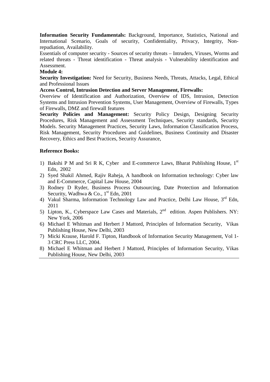**Information Security Fundamentals:** Background, Importance, Statistics, National and International Scenario, Goals of security, Confidentiality, Privacy, Integrity, Nonrepudiation, Availability.

Essentials of computer security - Sources of security threats – Intruders, Viruses, Worms and related threats - Threat identification - Threat analysis - Vulnerability identification and Assessment.

## **Module 4:**

**Security Investigation:** Need for Security, Business Needs, Threats, Attacks, Legal, Ethical and Professional Issues

## **Access Control, Intrusion Detection and Server Management, Firewalls:**

Overview of Identification and Authorization, Overview of IDS, Intrusion, Detection Systems and Intrusion Prevention Systems, User Management, Overview of Firewalls, Types of Firewalls, DMZ and firewall features

**Security Policies and Management:** Security Policy Design, Designing Security Procedures, Risk Management and Assessment Techniques, Security standards, Security Models. Security Management Practices, Security Laws, Information Classification Process, Risk Management, Security Procedures and Guidelines, Business Continuity and Disaster Recovery, Ethics and Best Practices, Security Assurance,

## **Reference Books:**

- 1) Bakshi P M and Sri R K, Cyber and E-commerce Laws, Bharat Publishing House,  $1<sup>st</sup>$ Edn, 2002
- 2) Syed Shakil Ahmed, Rajiv Raheja, A handbook on Information technology: Cyber law and E-Commerce, Capital Law House, 2004
- 3) Rodney D Ryder, Business Process Outsourcing, Date Protection and Information Security, Wadhwa & Co.,  $1<sup>st</sup>$  Edn, 2001
- 4) Vakul Sharma, Information Technology Law and Practice, Delhi Law House, 3<sup>rd</sup> Edn, 2011
- 5) Lipton, K., Cyberspace Law Cases and Materials,  $2<sup>nd</sup>$  edition. Aspen Publishers. NY: New York, 2006
- 6) Michael E Whitman and Herbert J Mattord, Principles of Information Security, Vikas Publishing House, New Delhi, 2003
- 7) Micki Krause, Harold F. Tipton, Handbook of Information Security Management, Vol 1- 3 CRC Press LLC, 2004.
- 8) Michael E Whitman and Herbert J Mattord, Principles of Information Security, Vikas Publishing House, New Delhi, 2003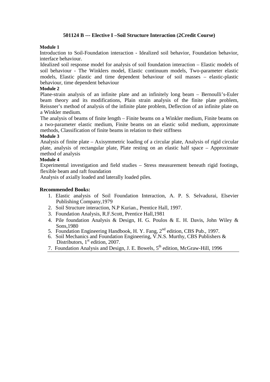## **501124 B --- Elective I –Soil Structure Interaction (2Credit Course)**

#### **Module 1**

Introduction to Soil-Foundation interaction - Idealized soil behavior, Foundation behavior, interface behaviour.

Idealized soil response model for analysis of soil foundation interaction – Elastic models of soil behaviour - The Winklers model, Elastic continuum models, Two-parameter elastic models, Elastic plastic and time dependent behaviour of soil masses – elastic-plastic behaviour, time dependent behaviour

#### **Module 2**

Plane-strain analysis of an infinite plate and an infinitely long beam – Bernoulli's-Euler beam theory and its modifications, Plain strain analysis of the finite plate problem, Reissner's method of analysis of the infinite plate problem, Deflection of an infinite plate on a Winkler medium.

The analysis of beams of finite length – Finite beams on a Winkler medium, Finite beams on a two-parameter elastic medium, Finite beams on an elastic solid medium, approximate methods, Classification of finite beams in relation to their stiffness

#### **Module 3**

Analysis of finite plate – Axisymmetric loading of a circular plate, Analysis of rigid circular plate, analysis of rectangular plate, Plate resting on an elastic half space – Approximate method of analysis

#### **Module 4**

Experimental investigation and field studies – Stress measurement beneath rigid footings, flexible beam and raft foundation

Analysis of axially loaded and laterally loaded piles.

- 1. Elastic analysis of Soil Foundation Interaction, A. P. S. Selvadurai, Elsevier Publishing Company,1979
- 2. Soil Structure interaction, N.P Kurian., Prentice Hall, 1997.
- 3. Foundation Analysis, R.F.Scott, Prentice Hall,1981
- 4. Pile foundation Analysis & Design, H. G. Poulos & E. H. Davis, John Wiley & Sons,1980
- 5. Foundation Engineering Handbook, H. Y. Fang, 2nd edition, CBS Pub., 1997.
- 6. Soil Mechanics and Foundation Engineering, V.N.S. Murthy, CBS Publishers & Distributors,  $1<sup>st</sup>$  edition, 2007.
- 7. Foundation Analysis and Design, J. E. Bowels, 5<sup>th</sup> edition, McGraw-Hill, 1996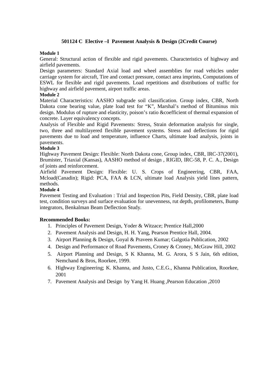## **501124 C Elective –I Pavement Analysis & Design (2Credit Course)**

#### **Module 1**

General: Structural action of flexible and rigid pavements. Characteristics of highway and airfield pavements.

Design parameters: Standard Axial load and wheel assemblies for road vehicles under carriage system for aircraft, Tire and contact pressure, contact area imprints, Computations of ESWL for flexible and rigid pavements. Load repetitions and distributions of traffic for highway and airfield pavement, airport traffic areas.

#### **Module 2**

Material Characteristics: AASHO subgrade soil classification. Group index, CBR, North Dakota cone bearing value, plate load test for "K", Marshal's method of Bituminus mix design. Modulus of rupture and elasticity, poison's ratio &coefficient of thermal expansion of concrete. Layer equivalency concepts.

Analysis of Flexible and Rigid Pavements: Stress, Strain deformation analysis for single, two, three and multilayered flexible pavement systems. Stress and deflections for rigid pavements due to load and temperature, influence Charts, ultimate load analysis, joints in pavements.

#### **Module 3**

Highway Pavement Design: Flexible: North Dakota cone, Group index, CBR, IRC-37(2001), Brumister, Triaxial (Kansas), AASHO method of design , RIGID, IRC-58, P. C. A., Design of joints and reinforcement.

Airfield Pavement Design: Flexible: U. S. Crops of Engineering, CBR, FAA, Mcload(Canadin); Rigid: PCA, FAA & LCN, ultimate load Analysis yield lines pattern, methods.

#### **Module 4**

Pavement Testing and Evaluation : Trial and Inspection Pits, Field Density, CBR, plate load test, condition surveys and surface evaluation for unevenness, rut depth, profilometers, Bump integrators, Benkalman Beam Deflection Study.

- 1. Principles of Pavement Design, Yoder & Witzace; Prentice Hall,2000
- 2. Pavement Analysis and Design, H. H. Yang, Pearson Prentice Hall, 2004.
- 3. Airport Planning & Design, Goyal & Praveen Kumar; Galgotia Publication, 2002
- 4. Design and Performance of Road Pavements, Croney & Croney, McGraw Hill, 2002
- 5. Airport Planning and Design, S K Khanna, M. G. Arora, S S Jain, 6th edition, Nemchand & Bros, Roorkee, 1999.
- 6. Highway Engineering; K. Khanna, and Justo, C.E.G., Khanna Publication, Roorkee, 2001
- 7. Pavement Analysis and Design by Yang H. Huang ,Pearson Education ,2010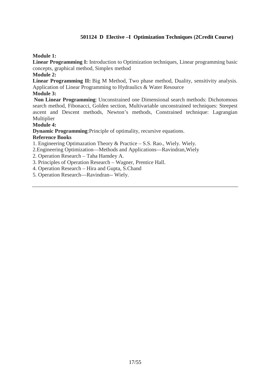## **501124 D Elective –I Optimization Techniques (2Credit Course)**

## **Module 1:**

**Linear Programming I:** Introduction to Optimization techniques, Linear programming basic concepts, graphical method, Simplex method

### **Module 2:**

Linear Programming II: Big M Method, Two phase method, Duality, sensitivity analysis. Application of Linear Programming to Hydraulics & Water Resource

#### **Module 3:**

 **Non Linear Programming**: Unconstrained one Dimensional search methods: Dichotomous search method, Fibonacci, Golden section, Multivariable unconstrained techniques: Steepest ascent and Descent methods, Newton's methods, Constrained technique: Lagrangian Multiplier

## **Module 4:**

**Dynamic Programming**:Principle of optimality, recursive equations.

## **Reference Books**

1. Engineering Optimazation Theory & Practice – S.S. Rao., Wiely. Wiely.

2.Engineering Optimization—Methods and Applications—Ravindran,Wiely

2. Operation Research – Taha Hamdey A.

3. Principles of Operation Research – Wagner, Prentice Hall.

4. Operation Research – Hira and Gupta, S.Chand

5. Operation Research—Ravindran-- Wiely.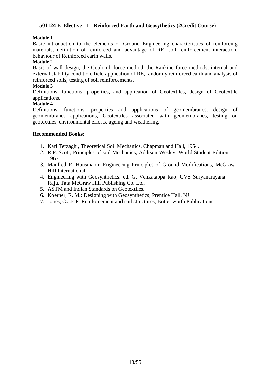## **501124 E Elective –I Reinforced Earth and Geosythetics (2Credit Course)**

#### **Module 1**

Basic introduction to the elements of Ground Engineering characteristics of reinforcing materials, definition of reinforced and advantage of RE, soil reinforcement interaction, behaviour of Reinforced earth walls,

#### **Module 2**

Basis of wall design, the Coulomb force method, the Rankine force methods, internal and external stability condition, field application of RE, randomly reinforced earth and analysis of reinforced soils, testing of soil reinforcements.

#### **Module 3**

Definitions, functions, properties, and application of Geotextiles, design of Geotextile applications,

#### **Module 4**

Definitions, functions, properties and applications of geomembranes, design of geomembranes applications, Geotextiles associated with geomembranes, testing on geotextiles, environmental efforts, ageing and weathering.

- 1. Karl Terzaghi, Theoretical Soil Mechanics, Chapman and Hall, 1954.
- 2. R.F. Scott, Principles of soil Mechanics, Addison Wesley, World Student Edition, 1963.
- 3. Manfred R. Hausmann: Engineering Principles of Ground Modifications, McGraw Hill International.
- 4. Engineering with Geosynthetics: ed. G. Venkatappa Rao, GVS Suryanarayana Raju, Tata McGraw Hill Publishing Co. Ltd.
- 5. ASTM and Indian Standards on Geotextiles.
- 6. Koerner, R. M.: Designing with Geosynthetics, Prentice Hall, NJ.
- 7. Jones, C.J.E.P. Reinforcement and soil structures, Butter worth Publications.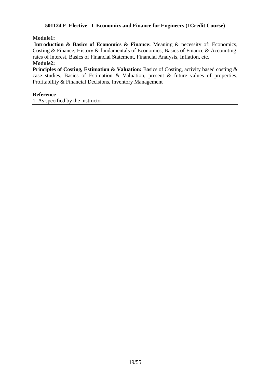## **501124 F Elective –I Economics and Finance for Engineers (1Credit Course)**

### **Module1:**

 **Introduction & Basics of Economics & Finance:** Meaning & necessity of: Economics, Costing & Finance, History & fundamentals of Economics, Basics of Finance & Accounting, rates of interest, Basics of Financial Statement, Financial Analysis, Inflation, etc. **Module2:** 

**Principles of Costing, Estimation & Valuation:** Basics of Costing, activity based costing & case studies, Basics of Estimation & Valuation, present & future values of properties, Profitability & Financial Decisions, Inventory Management

#### **Reference**

1. As specified by the instructor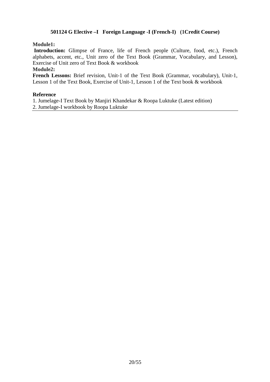## **501124 G Elective –I Foreign Language -I (French-I) (1Credit Course)**

### **Module1:**

 **Introduction:** Glimpse of France, life of French people (Culture, food, etc.), French alphabets, accent, etc., Unit zero of the Text Book (Grammar, Vocabulary, and Lesson), Exercise of Unit zero of Text Book & workbook

#### **Module2:**

**French Lessons:** Brief revision, Unit-1 of the Text Book (Grammar, vocabulary), Unit-1, Lesson 1 of the Text Book, Exercise of Unit-1, Lesson 1 of the Text book & workbook

#### **Reference**

1. Jumelage-I Text Book by Manjiri Khandekar & Roopa Luktuke (Latest edition) 2. Jumelage-I workbook by Roopa Luktuke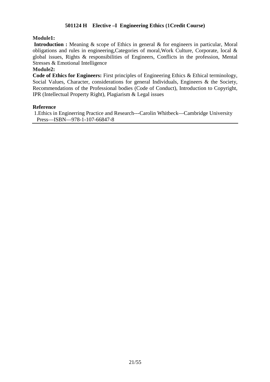## **501124 H Elective –I Engineering Ethics (1Credit Course)**

#### **Module1:**

**Introduction :** Meaning & scope of Ethics in general & for engineers in particular, Moral obligations and rules in engineering,Categories of moral,Work Culture, Corporate, local & global issues, Rights & responsibilities of Engineers, Conflicts in the profession, Mental Stresses & Emotional Intelligence

#### **Module2:**

**Code of Ethics for Engineers:** First principles of Engineering Ethics & Ethical terminology, Social Values, Character, considerations for general Individuals, Engineers & the Society, Recommendations of the Professional bodies (Code of Conduct), Introduction to Copyright, IPR (Intellectual Property Right), Plagiarism & Legal issues

#### **Reference**

1.Ethics in Enginerring Practice and Research---Carolin Whitbeck—Cambridge University Press—ISBN—978-1-107-66847-8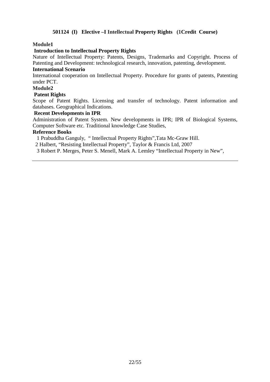## **501124 (I) Elective –I Intellectual Property Rights (1Credit Course)**

#### **Module1**

#### **Introduction to Intellectual Property Rights**

Nature of Intellectual Property: Patents, Designs, Trademarks and Copyright. Process of Patenting and Development: technological research, innovation, patenting, development.

### **International Scenario**

International cooperation on Intellectual Property. Procedure for grants of patents, Patenting under PCT.

#### **Module2**

#### **Patent Rights**

Scope of Patent Rights. Licensing and transfer of technology. Patent information and databases. Geographical Indications.

#### **Recent Developments in IPR**

Administration of Patent System. New developments in IPR; IPR of Biological Systems, Computer Software etc. Traditional knowledge Case Studies,

#### **Reference Books**

1 Prabuddha Ganguly, " Intellectual Property Rights",Tata Mc-Graw Hill.

2 Halbert, "Resisting Intellectual Property", Taylor & Francis Ltd, 2007

3 Robert P. Merges, Peter S. Menell, Mark A. Lemley "Intellectual Property in New",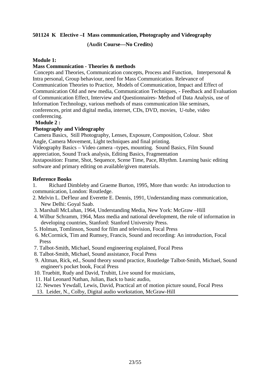## **501124 K Elective –I Mass communication, Photography and Videography**

## **(Audit Course—No Credits)**

#### **Module 1:**

## **Mass Communication - Theories & methods**

 Concepts and Theories, Communication concepts, Process and Function, Interpersonal & Intra personal, Group behaviour, need for Mass Communication. Relevance of Communication Theories to Practice, Models of Communication, Impact and Effect of Communication Old and new media, Communication Techniques, - Feedback and Evaluation of Communication Effect, Interview and Questionnaires- Method of Data Analysis, use of Information Technology, various methods of mass communication like seminars, conferences, print and digital media, internet, CDs, DVD, movies, U-tube, video conferencing.

## **Module 2 :**

## **Photography and Videography**

 Camera Basics, Still Photography, Lenses, Exposure, Composition, Colour. Shot Angle, Camera Movement, Light techniques and final printing.

Videography Basics – Video camera –types, mounting. Sound Basics, Film Sound appreciation, Sound Track analysis, Editing Basics, Fragmentation

Juxtaposition: Frame, Shot, Sequence, Scene Time, Pace, Rhythm. Learning basic editing software and primary editing on available/given materials.

#### **Reference Books**

1. Richard Dimbleby and Graeme Burton, 1995, More than words: An introduction to communication, London: Routledge.

- 2. Melvin L. DeFleur and Everette E. Dennis, 1991, Understanding mass communication, New Delhi: Goyal Saab.
- 3. Marshall McLuhan, 1964, Understanding Media, New York: McGraw –Hill
- 4. Wilbur Schramm, 1964, Mass media and national development, the role of information in developing countries, Stanford: Stanford University Press.
- 5. Holman, Tomlinson, Sound for film and television, Focal Press
- 6. McCormick, Tim and Rumsey, Francis, Sound and recording: An introduction, Focal Press
- 7. Talbot-Smith, Michael, Sound engineering explained*,* Focal Press
- 8. Talbot-Smith, Michael, Sound assistance*,* Focal Press
- 9. Altman, Rick, ed., Sound theory sound practice*,* Routledge Talbot-Smith, Michael, Sound engineer's pocket book, Focal Press
- 10. Truebitt, Rudy and David, Trubitt, Live sound for musicians,
- 11. Hal Leonard Nathan, Julian, Back to basic audio,
- 12. Newnes Yewdall, Lewis, David, Practical art of motion picture sound, Focal Press
- 13. Leider, N., Colby, Digital audio workstation, McGraw-Hill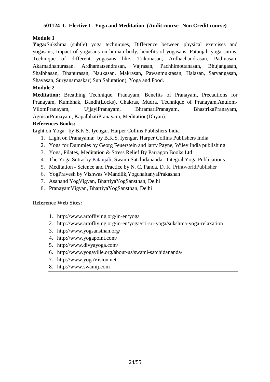## **501124 L Elective I Yoga and Meditation (Audit course--Non Credit course)**

## **Module 1**

**Yoga:**Sukshma (subtle) yoga techniques, Difference between physical exercises and yogasans, Impact of yogasans on human body, benefits of yogasans, Patanjali yoga sutras, Technique of different yogasans like, Trikonasan, Ardhachandrasan, Padmasan, Akarnadhanurasan, Ardhamatsendrasan, Vajrasan, Pachhimottanasan, Bhujangasan, Shalbhasan, Dhanurasan, Naukasan, Makrasan, Pawanmuktasan, Halasan, Sarvangasan, Shavasan, Suryanamaskar( Sun Salutation), Yoga and Food.

## **Module 2**

**Meditation:** Breathing Technique, Pranayam, Benefits of Pranayam, Precautions for Pranayam, Kumbhak, Bandh(Locks), Chakras, Mudra, Technique of Pranayam,Anulom-VilomPranayam, UjjayiPranayam, BhramariPranayam, BhastrikaPranayam, AgnisarPranayam, KapalbhatiPranayam, Meditation(Dhyan).

## **References Books:**

Light on Yoga: by B.K.S. Iyengar, Harper Collins Publishers India

- 1. Light on Pranayama: by B.K.S. Iyengar, Harper Collins Publishers India
- 2. Yoga for Dummies by Georg Feuerstein and larry Payne, Wiley India publishing
- 3. Yoga, Pilates, Meditation & Stress Relief By Parragon Books Ltd
- 4. The Yoga Sutrasby Patanjali, Swami Satchidananda, Integral Yoga Publications
- 5. Meditation Science and Practice by N. C. Panda, D. K. PrintworldPublisher
- 6. YogPravesh by Vishwas VMandlik,YogchaitanyaPrakashan
- 7. Asanand YogVigyan, BhartiyaYogSansthan, Delhi
- 8. PranayamVigyan, BhartiyaYogSansthan, Delhi

## **Reference Web Sites:**

- 1. http://www.artofliving.org/in-en/yoga
- 2. http://www.artofliving.org/in-en/yoga/sri-sri-yoga/sukshma-yoga-relaxation
- 3. http://www.yogsansthan.org/
- 4. http://www.yogapoint.com/
- 5. http://www.divyayoga.com/
- 6. http://www.yogaville.org/about-us/swami-satchidananda/
- 7. http://www.yogaVision.net
- 8. http://www.swamij.com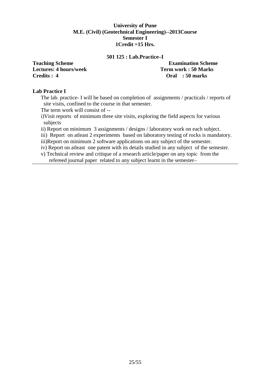### **University of Pune M.E. (Civil) (Geotechnical Engineering)--2013Course Semester I 1Credit =15 Hrs.**

#### **501 125 : Lab.Practice–I**

**Lectures: 4 hours/week Term work : 50 Marks Credits : 4 Oral : 50 marks** 

# **Teaching Scheme Examination Scheme**

## **Lab Practice I**

The lab. practice- I will be based on completion of assignments / practicals / reports of site visits, confined to the course in that semester.

The term work will consist of --

i)Visit reports of minimum three site visits, exploring the field aspects for various subjects

ii) Report on minimum 3 assignments / designs / laboratory work on each subject.

iii) Report on atleast 2 experiments based on laboratory testing of rocks is mandatory.

iii)Report on minimum 2 software applications on any subject of the semester.

iv) Report on atleast one patent with its details studied in any subject of the semester.

v) Technical review and critique of a research article/paper on any topic from the refereed journal paper related to any subject learnt in the semester–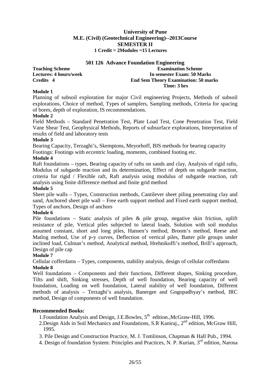## **501 126 Advance Foundation Engineering**

**Teaching Scheme Examination Scheme Examination Scheme Lectures: 4 hours/week In semester Exam: 50 Marks Credits 4 End Sem Theory Examination: 50 marks Time: 3 hrs** 

#### **Module 1**

Planning of subsoil exploration for major Civil engineering Projects, Methods of subsoil explorations, Choice of method, Types of samplers, Sampling methods, Criteria for spacing of bores, depth of exploration, IS recommendations.

## **Module 2**

Field Methods – Standard Penetration Test, Plate Load Test, Cone Penetration Test, Field Vane Shear Test, Geophysical Methods, Reports of subsurface explorations, Interpretation of results of field and laboratory tests

#### **Module 3**

Bearing Capacity, Terzaghi's, Skemptons, Meyorhoff, BIS methods for bearing capacity Footings: Footings with eccentric loading, moments, combined footing etc.

#### **Module 4**

Raft foundations – types, Bearing capacity of rafts on sands and clay, Analysis of rigid rafts, Modulus of subgarde reaction and its determination, Effect of depth on subgarde reaction, criteria for rigid / Flexible raft, Raft analysis using modulus of subgarde reaction, raft analysis using finite difference method and finite grid method

#### **Module 5**

Sheet pile walls – Types, Construction methods, Cantilever sheet piling penetrating clay and sand, Anchored sheet pile wall – Free earth support method and Fixed earth support method, Types of anchors, Design of anchors

## **Module 6**

Pile foundations – Static analysis of piles & pile group, negative skin friction, uplift resistance of pile, Vertical piles subjected to lateral loads, Solution with soil modulus assumed constant, short and long piles, Hansen's method, Broom's method, Reese and Matlog method, Use of p-y curves, Deflection of vertical piles, Batter pile groups under inclined load, Culman's method, Analytical method, Hrehnikoffi's method, Brill's approach, Design of pile cap

## **Module 7**

Cellular cofferdams – Types, components, stability analysis, design of cellular cofferdams **Module 8**

Well foundations – Components and their functions, Different shapes, Sinking procedure, Tilts and shift, Sinking stresses, Depth of well foundation, Bearing capacity of well foundation, Loading on well foundation, Lateral stability of well foundation, Different methods of analysis – Terzaghi's analysis, Banergee and Gngopadhyay's method, IRC method, Design of components of well foundation.

## **Recommended Books:**

1. Foundation Analysis and Design, J.E. Bowles,  $5<sup>th</sup>$  edition., McGraw-Hill, 1996.

- 2.Design Aids in Soil Mechanics and Foundations, S.R. Kanirai.,  $2<sup>nd</sup>$  edition, McGraw Hill, 1995.
- 3. Pile Design and Construction Practice, M. J. Tomlinson, Chapman & Hall Pub., 1994.
- 4. Design of foundation System: Principles and Practices, N. P. Kurian, 3<sup>rd</sup> edition, Narosa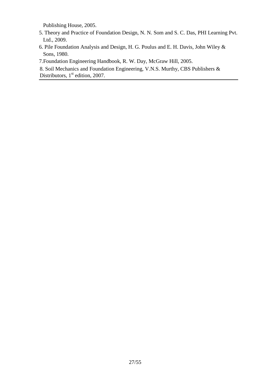Publishing House, 2005.

- 5. Theory and Practice of Foundation Design, N. N. Som and S. C. Das, PHI Learning Pvt. Ltd., 2009.
- 6. Pile Foundation Analysis and Design, H. G. Poulus and E. H. Davis, John Wiley & Sons, 1980.
- 7.Foundation Engineering Handbook, R. W. Day, McGraw Hill, 2005.
- 8. Soil Mechanics and Foundation Engineering, V.N.S. Murthy, CBS Publishers & Distributors, 1<sup>st</sup> edition, 2007.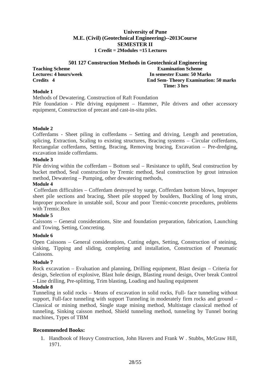| 501 127 Construction Methods in Geotechnical Engineering |                                              |  |  |  |
|----------------------------------------------------------|----------------------------------------------|--|--|--|
| <b>Teaching Scheme</b>                                   | <b>Examination Scheme</b>                    |  |  |  |
| <b>Lectures: 4 hours/week</b>                            | In semester Exam: 50 Marks                   |  |  |  |
| Credits 4                                                | <b>End Sem- Theory Examination: 50 marks</b> |  |  |  |
|                                                          | Time: 3 hrs                                  |  |  |  |

#### **Module 1**

Methods of Dewatering. Construction of Raft Foundation

Pile foundation - Pile driving equipment – Hammer, Pile drivers and other accessory equipment, Construction of precast and cast-in-situ piles.

#### **Module 2**

Cofferdams - Sheet piling in cofferdams – Setting and driving, Length and penetration, splicing, Extraction, Scaling to existing structures, Bracing systems – Circular cofferdams, Rectangular cofferdams, Setting, Bracing, Removing bracing, Excavation – Pre-dredging, excavation inside cofferdams.

#### **Module 3**

Pile driving within the cofferdam – Bottom seal – Resistance to uplift, Seal construction by bucket method, Seal construction by Tremic method, Seal construction by grout intrusion method, Dewatering – Pumping, other dewatering methods,

#### **Module 4**

 Cofferdam difficulties – Cofferdam destroyed by surge, Cofferdam bottom blows, Improper sheet pile sections and bracing, Sheet pile stopped by boulders, Buckling of long struts, Improper procedure in unstable soil, Scour and poor Tremic-concrete procedures, problems with Tremic.Box

#### **Module 5**

Caissons – General considerations, Site and foundation preparation, fabrication, Launching and Towing, Setting, Concreting.

#### **Module 6**

Open Caissons – General considerations, Cutting edges, Setting, Construction of steining, sinking, Tipping and sliding, completing and installation, Construction of Pneumatic Caissons.

#### **Module 7**

Rock excavation – Evaluation and planning, Drilling equipment, Blast design – Criteria for design, Selection of explosive, Blast hole design, Blasting round design, Over break Control – Line drilling, Pre-splitting, Trim blasting, Loading and hauling equipment

#### **Module 8**

Tunneling in solid rocks – Means of excavation in solid rocks, Full- face tunneling without support, Full-face tunneling with support Tunneling in moderately firm rocks and ground – Classical or mining method, Single stage mining method, Multistage classical method of tunneling, Sinking caisson method, Shield tunneling method, tunneling by Tunnel boring machines, Types of TBM

#### **Recommended Books:**

1. Handbook of Heavy Construction, John Havers and Frank W . Stubbs, McGraw Hill, 1971.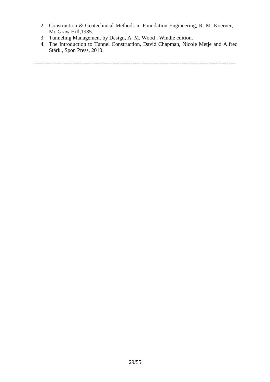- 2. Construction & Geotechnical Methods in Foundation Engineering, R. M. Koerner, Mc Graw Hill,1985.
- 3. Tunneling Management by Design, A. M. Wood , Windle edition.
- 4. The Introduction to Tunnel Construction, David Chapman, Nicole Metje and Alfred Stärk , Spon Press, 2010.

----------------------------------------------------------------------------------------------------------------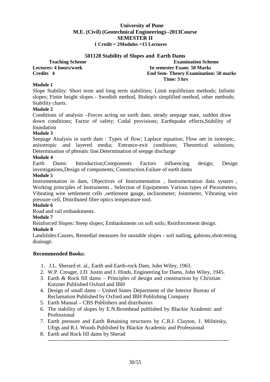#### **501128 Stability of Slopes and Earth Dams**

**Teaching Scheme Examination Scheme Examination Scheme Lectures: 4 hours/week 1.1 In semester Exam: 50 Marks Credits 4.1 In semester Exam: 50 Marks 2.1 In semester Exam: 50 Marks 2.1 In semester Exam: 50 Marks 2.1 In semester Examination End Sem- Theory Examination: 50 marks Time: 3 hrs** 

#### **Module 1**

Slope Stability: Short term and long term stabilities; Limit equilibrium methods; Infinite slopes; Finite height slopes - Swedish method, Bishop's simplified method, other methods; Stability charts.

## **Module 2**

Conditions of analysis –Forces acting on earth dam, steady seepage state, sudden draw down conditions; Factor of safety; Codal provisions; Earthquake effects,Stability of foundation

## **Module 3**

Seepage Analysis in earth dam : Types of flow; Laplace equation; Flow net in isotropic, anisotropic and layered media; Entrance-exit conditions; Theoretical solutions; Determination of phreatic line.Determination of seepge discharge

#### **Module 4**

Earth Dams: Introduction;Components Factors influencing design; Design investigations,Design of components; Construction.Failure of earth dams

#### **Module 5**

Instrumentation in dam, Objectives of Instrumentation , Instrumentation data system , Working principles of Instruments , Selection of Equipments Various types of Piezometers, Vibrating wire settlement cells ,settlement gauge, inclinometer; Jointmeter, Vibrating wire pressure cell, Distributed fibre optics temperature tool.

#### **Module 6**

Road and rail embankments.

#### **Module 7**

Reinforced Slopes: Steep slopes; Embankments on soft soils; Reinforcement design.

#### **Module 8**

Landslides:Causes, Remedial measures for unstable slopes - soil nailing, gabions,shotcreting, drainage.

- 1. J.L. Sherard et. al., Earth and Earth-rock Dam, John Wiley, 1963.
- 2. W.P. Creager, J.D. Justin and J. Hinds, Engineering for Dams, John Wiley, 1945.
- 3. Earth & Rock fill dams Principles of design and construction by Christian Kutzner Published Oxford and IBH
- 4. Design of small dams United States Department of the Interior Bureau of Reclamation Published by Oxford and IBH Publishing Company
- 5. Earth Manual CBS Publishers and distributors
- 6. The stability of slopes by E.N.Bromhead published by Blackie Academic and Professional
- 7. Earth pressure and Earth Retaining structures by C.R.I. Clayton, J. Milititsky, Ufrgs and R.I. Woods Published by Blackie Academic and Professional
- 8. Earth and Rock fill dams by Sherad ----------------------------------------------------------------------------------------------------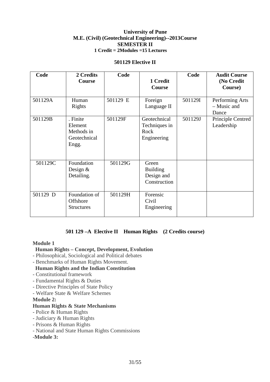#### **501129 Elective II**

| Code     | 2 Credits<br><b>Course</b>                                 | Code     | 1 Credit<br>Course                                     | Code    | <b>Audit Course</b><br>(No Credit<br>Course) |
|----------|------------------------------------------------------------|----------|--------------------------------------------------------|---------|----------------------------------------------|
| 501129A  | Human<br>Rights                                            | 501129 E | Foreign<br>Language II                                 | 501129I | Performing Arts<br>- Music and<br>Dance      |
| 501129B  | . Finite<br>Element<br>Methods in<br>Geotechnical<br>Engg. | 501129F  | Geotechnical<br>Techniques in<br>Rock<br>Engineering   | 501129J | Principle Centred<br>Leadership              |
| 501129C  | Foundation<br>Design $&$<br>Detailing.                     | 501129G  | Green<br><b>Building</b><br>Design and<br>Construction |         |                                              |
| 501129 D | Foundation of<br>Offshore<br><b>Structures</b>             | 501129H  | Forensic<br>Civil<br>Engineering                       |         |                                              |

## **501 129 –A Elective II Human Rights (2 Credits course)**

#### **Module 1**

#### **Human Rights – Concept, Development, Evolution**

- Philosophical, Sociological and Political debates
- Benchmarks of Human Rights Movement.

## **Human Rights and the Indian Constitution**

- Constitutional framework
- Fundamental Rights & Duties
- Directive Principles of State Policy
- Welfare State & Welfare Schemes

#### **Module 2:**

### **Human Rights & State Mechanisms**

- Police & Human Rights
- Judiciary & Human Rights
- Prisons & Human Rights
- National and State Human Rights Commissions

#### -**Module 3:**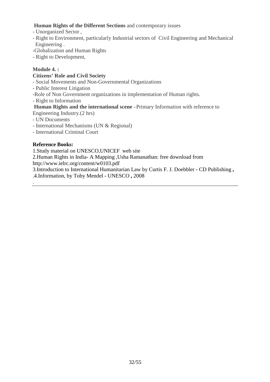## **Human Rights of the Different Sections** and contemporary issues

- Unorganized Sector ,
- Right to Environment, particularly Industrial sectors of Civil Engineering and Mechanical Engineering .
- -Globalization and Human Rights
- Right to Development,

## **Module 4. :**

## **Citizens' Role and Civil Society**

- Social Movements and Non-Governmental Organizations
- Public Interest Litigation
- -Role of Non Government organizations in implementation of Human rights.
- Right to Information

## **Human Rights and the international scene** –Primary Information with reference to

Engineering Industry.(2 hrs)

- UN Documents
- International Mechanisms (UN & Regional)
- International Criminal Court

## **Reference Books:**

.

1.Study material on UNESCO,UNICEF web site

2.Human Rights in India- A Mapping ,Usha Ramanathan: free download from http://www.ielrc.org/content/w0103.pdf

3.Introduction to International Humanitarian Law by Curtis F. J. Doebbler **-** CD Publishing **,**  .4.Information, by Toby Mendel **-** UNESCO **,** 2008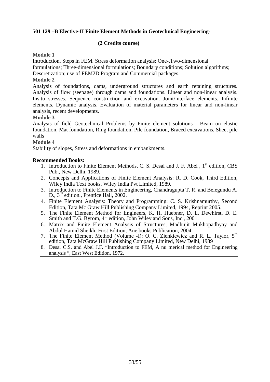## **501 129 –B Elective-II Finite Element Methods in Geotechnical Engineering-**

## **(2 Credits course)**

#### **Module 1**

Introduction. Steps in FEM. Stress deformation analysis: One-,Two-dimensional

formulations; Three-dimensional formulations; Boundary conditions; Solution algorithms;

Descretization; use of FEM2D Program and Commercial packages.

## **Module 2**

Analysis of foundations, dams, underground structures and earth retaining structures. Analysis of flow (seepage) through dams and foundations. Linear and non-linear analysis. Insitu stresses. Sequence construction and excavation. Joint/interface elements. Infinite elements. Dynamic analysis. Evaluation of material parameters for linear and non-linear analysis, recent developments.

## **Module 3**

Analysis of field Geotechnical Problems by Finite element solutions - Beam on elastic foundation, Mat foundation, Ring foundation, Pile foundation, Braced excavations, Sheet pile walls

#### **Module 4**

Stability of slopes, Stress and deformations in embankments.

- 1. Introduction to Finite Element Methods, C. S. Desai and J. F. Abel, 1<sup>st</sup> edition, CBS Pub., New Delhi, 1989.
- 2. Concepts and Applications of Finite Element Analysis: R. D. Cook, Third Edition, Wiley India Text books, Wiley India Pvt Limited, 1989.
- 3. Introduction to Finite Elements in Engineering, Chandragupta T. R. and Belegundu A. D., 3<sup>rd</sup> edition., Prentice Hall, 2002.
- 4. Finite Element Analysis: Theory and Programming: C. S. Krishnamurthy, Second Edition, Tata Mc Graw Hill Publishing Company Limited, 1994, Reprint 2005.
- 5. The Finite Element Method for Engineers, K. H. Huebner, D. L. Dewhirst, D. E. Smith and T.G. Byrom, 4<sup>th</sup> edition, John Wiley and Sons, Inc., 2001.
- 6. Matrix and Finite Element Analysis of Structures, Madhujit Mukhopadhyay and Abdul Hamid Sheikh, First Edition, Ane books Publication, 2004.
- 7. The Finite Element Method (Volume -I): O. C. Zienkiewicz and R. L. Taylor, 5<sup>th</sup> edition, Tata McGraw Hill Publishing Company Limited, New Delhi, 1989
- 8. Desai C.S. and Abel J.F. "Introduction to FEM, A nu merical method for Engineering analysis ", East West Edition, 1972.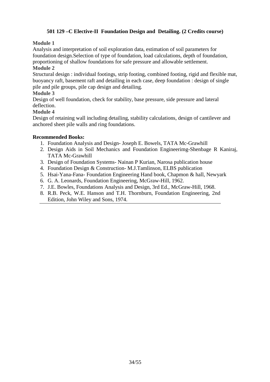## **501 129 –C Elective-II Foundation Design and Detailing. (2 Credits course)**

## **Module 1**

Analysis and interpretation of soil exploration data, estimation of soil parameters for foundation design.Selection of type of foundation, load calculations, depth of foundation, proportioning of shallow foundations for safe pressure and allowable settlement.

## **Module 2**

Structural design : individual footings, strip footing, combined footing, rigid and flexible mat, buoyancy raft, basement raft and detailing in each case, deep foundation : design of single pile and pile groups, pile cap design and detailing.

## **Module 3**

Design of well foundation, check for stability, base pressure, side pressure and lateral deflection.

## **Module 4**

Design of retaining wall including detailing, stability calculations, design of cantilever and anchored sheet pile walls and ring foundations.

- 1. Foundation Analysis and Design- Joseph E. Bowels, TATA Mc-Grawhill
- 2. Design Aids in Soil Mechanics and Foundation Engineerimg-Shenbage R Kaniraj, TATA Mc-Grawhill
- 3. Design of Foundation Systems- Nainan P Kurian, Narosa publication house
- 4. Foundation Design & Construction- M.J.Tamlinson, ELBS publication
- 5. Hsai-Yana-Fana- Foundation Engineering Hand book, Chapmon & hall, Newyark
- 6. G. A. Leonards, Foundation Engineering, McGraw-Hill, 1962.
- 7. J.E. Bowles, Foundations Analysis and Design, 3rd Ed., McGraw-Hill, 1968.
- 8. R.B. Peck, W.E. Hanson and T.H. Thornburn, Foundation Engineering, 2nd Edition, John Wiley and Sons, 1974.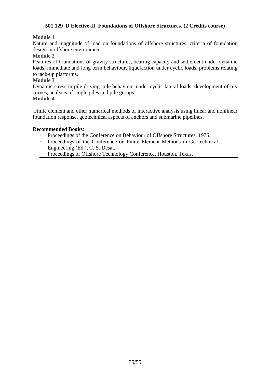## **501 129 D Elective-II Foundations of Offshore Structures. (2 Credits course)**

## **Module 1**

Nature and magnitude of load on foundations of offshore structures, criteria of foundation design in offshore environment.

#### **Module 2**

Features of foundations of gravity structures, bearing capacity and settlement under dynamic loads, immediate and long term behaviour, liquefaction under cyclic loads, problems relating to jack-up platforms.

#### **Module 3**

Dynamic stress in pile driving, pile behaviour under cyclic lateral loads, development of p-y curves, analysis of single piles and pile groups.

## **Module 4**

 Finite element and other numerical methods of interactive analysis using linear and nonlinear foundation response, geotechnical aspects of anchors and submarine pipelines.

- · Proceedings of the Conference on Behaviour of Offshore Structures, 1976.
- · Proceedings of the Conference on Finite Element Methods in Geotechnical Engineering (Ed.), C. S. Desai.
- Proceedings of Offshore Technology Conference, Houston, Texas.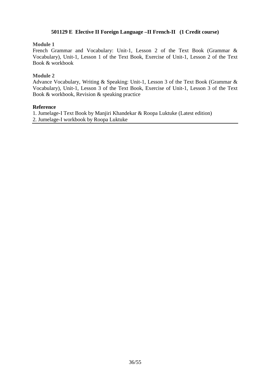## **501129 E Elective II Foreign Language –II French-II (1 Credit course)**

#### **Module 1**

French Grammar and Vocabulary: Unit-1, Lesson 2 of the Text Book (Grammar & Vocabulary), Unit-1, Lesson 1 of the Text Book, Exercise of Unit-1, Lesson 2 of the Text Book & workbook

#### **Module 2**

Advance Vocabulary, Writing & Speaking: Unit-1, Lesson 3 of the Text Book (Grammar & Vocabulary), Unit-1, Lesson 3 of the Text Book, Exercise of Unit-1, Lesson 3 of the Text Book & workbook, Revision & speaking practice

#### **Reference**

1. Jumelage-I Text Book by Manjiri Khandekar & Roopa Luktuke (Latest edition)

2. Jumelage-I workbook by Roopa Luktuke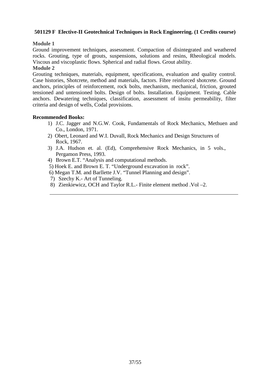## **501129 F Elective-II Geotechnical Techniques in Rock Engineering. (1 Credits course)**

## **Module 1**

Ground improvement techniques, assessment. Compaction of disintegrated and weathered rocks. Grouting, type of grouts, suspensions, solutions and resins, Rheological models. Viscous and viscoplastic flows. Spherical and radial flows. Grout ability.

## **Module 2**

Grouting techniques, materials, equipment, specifications, evaluation and quality control. Case histories, Shotcrete, method and materials, factors. Fibre reinforced shotcrete. Ground anchors, principles of reinforcement, rock bolts, mechanism, mechanical, friction, grouted tensioned and untensioned bolts. Design of bolts. Installation. Equipment. Testing. Cable anchors. Dewatering techniques, classification, assessment of insitu permeability, filter criteria and design of wells, Codal provisions.

- 1) J.C. Jagger and N.G.W. Cook, Fundamentals of Rock Mechanics, Methuen and Co., London, 1971.
- 2) Obert, Leonard and W.I. Duvall, Rock Mechanics and Design Structures of Rock, 1967.
- 3) J.A. Hudson et. al. (Ed), Comprehensive Rock Mechanics, in 5 vols., Pergamon Press, 1993.
- 4) Brown E.T. "Analysis and computational methods.
- 5) Hoek E. and Brown E. T. "Underground excavation in rock".
- 6) Megan T.M. and Barllette J.V. "Tunnel Planning and design".
- 7) Szechy K.- Art of Tunneling.
- 8) Zienkiewicz, OCH and Taylor R.L.- Finite element method .Vol –2.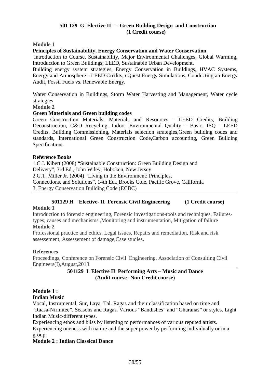## **501 129 G Elective II ----Green Building Design and Construction (1 Credit course)**

**Module 1**

## **Principles of Sustainability, Energy Conservation and Water Conservation**

 Introduction to Course, Sustainability, Major Environmental Challenges, Global Warming, Introduction to Green Buildings; LEED, Sustainable Urban Development.

Building energy system strategies, Energy Conservation in Buildings, HVAC Systems, Energy and Atmosphere - LEED Credits, eQuest Energy Simulations, Conducting an Energy Audit, Fossil Fuels vs. Renewable Energy.

Water Conservation in Buildings, Storm Water Harvesting and Management, Water cycle strategies

**Module 2**

#### **Green Materials and Green building codes**

Green Construction Materials, Materials and Resources - LEED Credits, Building Deconstruction, C&D Recycling, Indoor Environmental Quality – Basic, IEQ - LEED Credits, Building Commissioning, Materials selection strategies,Green building codes and standards, International Green Construction Code,Carbon accounting, Green Building Specifications

#### **Reference Books**

1.C.J. Kibert (2008) "Sustainable Construction: Green Building Design and Delivery", 3rd Ed., John Wiley, Hoboken, New Jersey 2.G.T. Miller Jr. (2004) "Living in the Environment: Principles, Connections, and Solutions", 14th Ed., Brooks Cole, Pacific Grove, California 3. Energy Conservation Building Code (ECBC)

# **501129 H Elective- II Forensic Civil Engineering (1 Credit course)**

#### **Module 1**

Introduction to forensic engineering, Forensic investigations-tools and techniques, Failurestypes, causes and mechanisms ,Monitoring and instrumentation, Mitigation of failure

## **Module 2**

Professional practice and ethics, Legal issues, Repairs and remediation, Risk and risk assessement, Assessement of damage,Case studies.

#### **References**

Proceedings, Conference on Forensic Civil Engineering, Association of Consulting Civil Engineers(I),August,2013

## **501129 I Elective II Performing Arts – Music and Dance (Audit course--Non Credit course)**

#### **Module 1 : Indian Music**

Vocal, Instrumental, Sur, Laya, Tal. Ragas and their classification based on time and "Raasa-Nirmitee". Seasons and Ragas. Various "Bandishes" and "Gharanas" or styles. Light Indian Music-different types.

Experiencing ethos and bliss by listening to performances of various reputed artists. Experiencing oneness with nature and the super power by performing individually or in a group.

#### **Module 2 : Indian Classical Dance**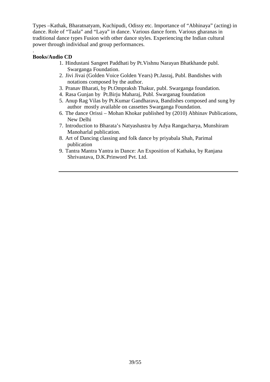Types –Kathak, Bharatnatyam, Kuchipudi, Odissy etc. Importance of "Abhinaya" (acting) in dance. Role of "Taala" and "Laya" in dance. Various dance form. Various gharanas in traditional dance types Fusion with other dance styles. Experiencing the Indian cultural power through individual and group performances.

#### . **Books/Audio CD**

- 1. Hindustani Sangeet Paddhati by Pt.Vishnu Narayan Bhatkhande publ. Swarganga Foundation.
- 2. Jivi Jivai (Golden Voice Golden Years) Pt.Jasraj, Publ. Bandishes with notations composed by the author.
- 3. Pranav Bharati, by Pt.Ompraksh Thakur, publ. Swarganga foundation.
- 4. Rasa Gunjan by Pt.Birju Maharaj, Publ. Swarganag foundation
- 5. Anup Rag Vilas by Pt.Kumar Gandharava, Bandishes composed and sung by author mostly available on cassettes Swarganga Foundation.
- 6. The dance Orissi Mohan Khokar published by (2010) Abhinav Publications, New Delhi
- 7. Introduction to Bharata's Natyashastra by Adya Rangacharya, Munshiram Manoharlal publication.
- 8. Art of Dancing classing and folk dance by priyabala Shah, Parimal publication
- 9. Tantra Mantra Yantra in Dance: An Exposition of Kathaka, by Ranjana Shrivastava, D.K.Prinword Pvt. Ltd.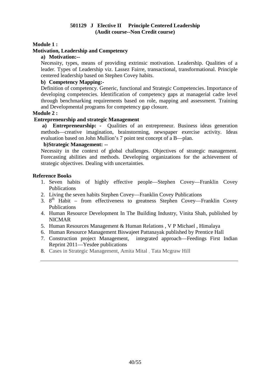### **501129 J Elective II Principle Centered Leadership (Audit course--Non Credit course)**

### **Module 1 :**

## **Motivation, Leadership and Competency**

## **a) Motivation:--**

Necessity, types, means of providing extrinsic motivation. Leadership. Qualities of a leader. Types of Leadership viz. Lassez Fairre, transactional, transformational. Principle centered leadership based on Stephen Covey habits.

#### **b) Competency Mapping:-**

Definition of competency. Generic, functional and Strategic Competencies. Importance of developing competencies. Identification of competency gaps at managerial cadre level through benchmarking requirements based on role, mapping and assessment. Training and Developmental programs for competency gap closure.

#### **Module 2 :**

#### **Entrepreneurship and strategic Management**

 **a) Entrepreneurship: -** Qualities of an entrepreneur. Business ideas generation methods—creative imagination, brainstorming, newspaper exercise activity. Ideas evaluation based on John Mullion's 7 point test concept of a B—plan.

#### **b)Strategic Management: --**

Necessity in the context of global challenges. Objectives of strategic management. Forecasting abilities and methods. Developing organizations for the achievement of strategic objectives. Dealing with uncertainties.

#### **Reference Books**

- 1. Seven habits of highly effective people—Stephen Covey—Franklin Covey Publications
- 2. Living the seven habits Stephen Covey—Franklin Covey Publications
- 3. 8<sup>th</sup> Habit from effectiveness to greatness Stephen Covey—Franklin Covey Publications
- 4. Human Resource Development In The Building Industry, Vinita Shah, published by NICMAR
- 5. Human Resources Management & Human Relations , V P Michael , Himalaya
- 6. Human Resource Management Biswajeet Pattanayak published by Prentice Hall
- 7. Construction project Management, integrated approach—Feedings First Indian Reprint 2011—Yesdee publications
- 8. Cases in Strategic Management, Amita Mital , Tata Mcgraw Hill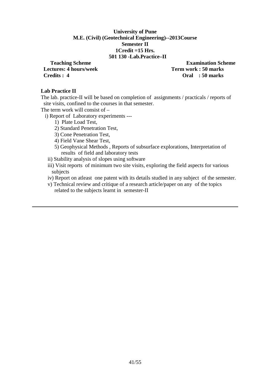#### **University of Pune M.E. (Civil) (Geotechnical Engineering)--2013Course Semester II 1Credit =15 Hrs. 501 130 -Lab.Practice–II**

*Lectures:* **4 hours/week Term work : 50 marks <b>Term work : 50 marks Credits : 4 Oral : 50 marks** 

**Teaching Scheme Examination Scheme** 

#### **Lab Practice II**

The lab. practice-II will be based on completion of assignments / practicals / reports of site visits, confined to the courses in that semester.

The term work will consist of –

i) Report of Laboratory experiments ---

- 1) Plate Load Test,
- 2) Standard Penetration Test,
- 3) Cone Penetration Test,
- 4) Field Vane Shear Test,
- 5) Geophysical Methods , Reports of subsurface explorations, Interpretation of results of field and laboratory tests
- ii) Stability analysis of slopes using software

 iii) Visit reports of minimum two site visits, exploring the field aspects for various subjects

- iv) Report on atleast one patent with its details studied in any subject of the semester.
- v) Technical review and critique of a research article/paper on any of the topics related to the subjects learnt in semester-II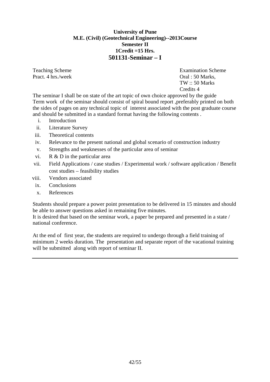## **University of Pune M.E. (Civil) (Geotechnical Engineering)--2013Course Semester II 1Credit =15 Hrs. 501131-Seminar – I**

Pract. 4 hrs./week Oral : 50 Marks.

Teaching Scheme **Examination** Scheme  $TW: 50$  Marks Credits 4

The seminar I shall be on state of the art topic of own choice approved by the guide Term work of the seminar should consist of spiral bound report ,preferably printed on both the sides of pages on any technical topic of interest associated with the post graduate course and should be submitted in a standard format having the following contents .

- i. Introduction
- ii. Literature Survey
- iii. Theoretical contents
- iv. Relevance to the present national and global scenario of construction industry
- v. Strengths and weaknesses of the particular area of seminar
- vi. R & D in the particular area
- vii. Field Applications / case studies / Experimental work / software application / Benefit cost studies – feasibility studies
- viii. Vendors associated
	- ix. Conclusions
	- x. References

Students should prepare a power point presentation to be delivered in 15 minutes and should be able to answer questions asked in remaining five minutes.

It is desired that based on the seminar work, a paper be prepared and presented in a state / national conference.

At the end of first year, the students are required to undergo through a field training of minimum 2 weeks duration. The presentation and separate report of the vacational training will be submitted along with report of seminar II.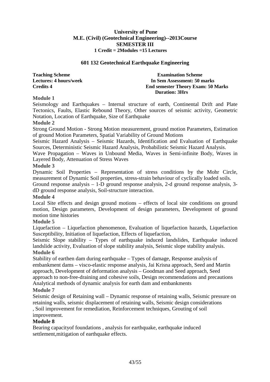## **601 132 Geotechnical Earthquake Engineering**

**Teaching Scheme Examination Scheme Examination Scheme Lectures: 4 hours/week In Sem Assessment: 50 marks Credits 4 End semester Theory Exam: 50 Marks Duration: 3Hrs** 

**Module 1** 

Seismology and Earthquakes – Internal structure of earth, Continental Drift and Plate Tectonics, Faults, Elastic Rebound Theory, Other sources of seismic activity, Geometric Notation, Location of Earthquake, Size of Earthquake

**Module 2**

Strong Ground Motion - Strong Motion measurement, ground motion Parameters, Estimation of ground Motion Parameters, Spatial Variability of Ground Motions

Seismic Hazard Analysis – Seismic Hazards, Identification and Evaluation of Earthquake Sources, Deterministic Seismic Hazard Analysis, Probabilistic Seismic Hazard Analysis.

Wave Propagation – Waves in Unbound Media, Waves in Semi-infinite Body, Waves in Layered Body, Attenuation of Stress Waves

#### **Module 3**

Dynamic Soil Properties – Representation of stress conditions by the Mohr Circle, measurement of Dynamic Soil properties, stress-strain behaviour of cyclically loaded soils.

Ground response analysis – 1-D ground response analysis, 2-d ground response analysis, 3 dD ground response analysis, Soil-structure interaction.

#### **Module 4**

Local Site effects and design ground motions – effects of local site conditions on ground motion, Design parameters, Development of design parameters, Development of ground motion time histories

#### **Module 5**

Liquefaction – Liquefaction phenomenon, Evaluation of liquefaction hazards, Liquefaction Susceptibility, Initiation of liquefaction, Effects of liquefaction,

Seismic Slope stability – Types of earthquake induced landslides, Earthquake induced landslide activity, Evaluation of slope stability analysis, Seismic slope stability analysis. **Module 6**

Stability of earthen dam during earthquake – Types of damage, Response analysis of embankment dams – visco-elastic response analysis, Jai Krisna approach, Seed and Martin approach, Development of deformation analysis – Goodman and Seed approach, Seed approach to non-free-draining and cohesive soils, Design recommendations and precautions Analytical methods of dynamic analysis for earth dam and embankments

#### **Module 7**

Seismic design of Retaining wall – Dynamic response of retaining walls, Seismic pressure on retaining walls, seismic displacement of retaining walls, Seismic design considerations , Soil improvement for remediation, Reinforcement techniques, Grouting of soil improvement.

## **Module 8**

Bearing capacityof foundations , analysis for earthquake, earthquake induced settlement,mitigation of earthquake effects.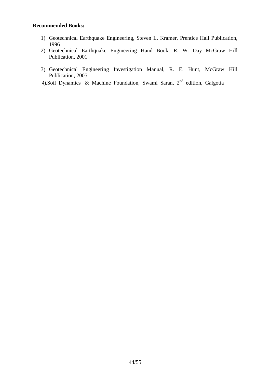- 1) Geotechnical Earthquake Engineering, Steven L. Kramer, Prentice Hall Publication, 1996
- 2) Geotechnical Earthquake Engineering Hand Book, R. W. Day McGraw Hill Publication, 2001
- 3) Geotechnical Engineering Investigation Manual, R. E. Hunt, McGraw Hill Publication, 2005
- 4).Soil Dynamics & Machine Foundation, Swami Saran,  $2<sup>nd</sup>$  edition, Galgotia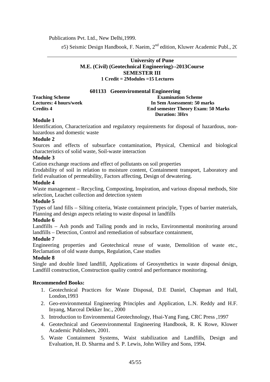Publications Pvt. Ltd., New Delhi,1999.

e5) Seismic Design Handbook, F. Naeim, 2<sup>nd</sup> edition, Kluwer Academic Publ., 20

## **University of Pune M.E. (Civil) (Geotechnical Engineering)--2013Course SEMESTER III 1 Credit = 2Modules =15 Lectures**

#### **601133 Geoenviromental Engineering**

#### **Teaching Scheme Examination Scheme Examination Scheme Lectures: 4 hours/week In Sem Assessment: 50 marks Credits 4 End semester Theory Exam: 50 Marks Duration: 3Hrs**

#### **Module 1**

Identification, Characterization and regulatory requirements for disposal of hazardous, nonhazardous and domestic waste

#### **Module 2**

Sources and effects of subsurface contamination, Physical, Chemical and biological characteristics of solid waste, Soil-waste interaction

#### **Module 3**

Cation exchange reactions and effect of pollutants on soil properties

Erodability of soil in relation to moisture content, Containment transport, Laboratory and field evaluation of permeability, Factors affecting, Design of dewatering.

#### **Module 4**

Waste management – Recycling, Composting, Inspiration, and various disposal methods, Site selection, Leachet collection and detection system

#### **Module 5**

Types of land fills – Silting criteria, Waste containment principle, Types of barrier materials, Planning and design aspects relating to waste disposal in landfills

#### **Module 6**

Landfills – Ash ponds and Tailing ponds and in rocks, Environmental monitoring around landfills – Detection, Control and remediation of subsurface containment,

#### **Module 7**

Engineering properties and Geotechnical reuse of waste, Demolition of waste etc., Reclamation of old waste dumps, Regulation, Case studies

#### **Module 8**

Single and double lined landfill, Applications of Geosynthetics in waste disposal design, Landfill construction, Construction quality control and performance monitoring.

- 1. Geotechnical Practices for Waste Disposal, D.E Daniel, Chapman and Hall, London,1993
- 2. Geo-environmental Engineering Principles and Application, L.N. Reddy and H.F. Inyang, Marceal Dekker Inc., 2000
- 3. Introduction to Environmental Geotechnology, Hsai-Yang Fang, CRC Press ,1997
- 4. Geotechnical and Geoenvironmental Engineering Handbook, R. K Rowe, Klower Academic Publishers, 2001.
- 5. Waste Containment Systems, Waist stabilization and Landfills, Design and Evaluation, H. D. Sharma and S. P. Lewis, John Willey and Sons, 1994.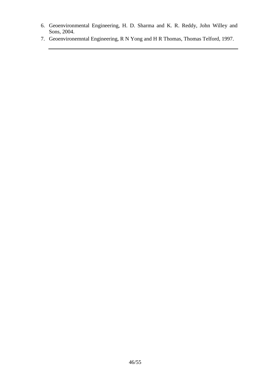- 6. Geoenvironmental Engineering, H. D. Sharma and K. R. Reddy, John Willey and Sons, 2004.
- 7. Geoenvironemntal Engineering, R N Yong and H R Thomas, Thomas Telford, 1997.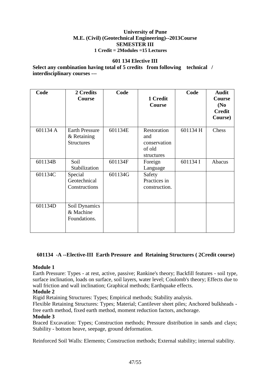#### **601 134 Elective III**

**Select any combination having total of 5 credits from following technical / interdisciplinary courses ---**

| Code     | 2 Credits<br>Course   | Code    | 1 Credit      | Code     | <b>Audit</b><br>Course |
|----------|-----------------------|---------|---------------|----------|------------------------|
|          |                       |         | Course        |          | (N <sub>0</sub> )      |
|          |                       |         |               |          | <b>Credit</b>          |
|          |                       |         |               |          | Course)                |
| 601134 A | <b>Earth Pressure</b> | 601134E | Restoration   | 601134 H | Chess                  |
|          | & Retaining           |         | and           |          |                        |
|          | <b>Structures</b>     |         | conservation  |          |                        |
|          |                       |         | of old        |          |                        |
|          |                       |         | structures    |          |                        |
| 601134B  | Soil                  | 601134F | Foreign       | 601134 I | Abacus                 |
|          | Stabilization         |         | Language      |          |                        |
| 601134C  | Special               | 601134G | Safety        |          |                        |
|          | Geotechnical          |         | Practices in  |          |                        |
|          | Constructions         |         | construction. |          |                        |
|          |                       |         |               |          |                        |
| 601134D  | Soil Dynamics         |         |               |          |                        |
|          | & Machine             |         |               |          |                        |
|          | Foundations.          |         |               |          |                        |
|          |                       |         |               |          |                        |
|          |                       |         |               |          |                        |

## **601134 -A --Elective-III Earth Pressure and Retaining Structures ( 2Credit course)**

### **Module 1**

Earth Pressure: Types - at rest, active, passive; Rankine's theory; Backfill features - soil type, surface inclination, loads on surface, soil layers, water level; Coulomb's theory; Effects due to wall friction and wall inclination; Graphical methods; Earthquake effects.

## **Module 2**

Rigid Retaining Structures: Types; Empirical methods; Stability analysis.

Flexible Retaining Structures: Types; Material; Cantilever sheet piles; Anchored bulkheads free earth method, fixed earth method, moment reduction factors, anchorage.

#### **Module 3**

Braced Excavation: Types; Construction methods; Pressure distribution in sands and clays; Stability - bottom heave, seepage, ground deformation.

Reinforced Soil Walls: Elements; Construction methods; External stability; internal stability.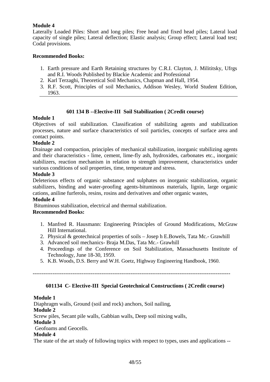## **Module 4**

Laterally Loaded Piles: Short and long piles; Free head and fixed head piles; Lateral load capacity of single piles; Lateral deflection; Elastic analysis; Group effect; Lateral load test; Codal provisions.

## **Recommended Books:**

- 1. Earth pressure and Earth Retaining structures by C.R.I. Clayton, J. Milititsky, Ufrgs and R.I. Woods Published by Blackie Academic and Professional
- 2. Karl Terzaghi, Theoretical Soil Mechanics, Chapman and Hall, 1954.
- 3. R.F. Scott, Principles of soil Mechanics, Addison Wesley, World Student Edition, 1963.

## **601 134 B --Elective-III Soil Stabilization ( 2Credit course)**

## **Module 1**

Objectives of soil stabilization. Classification of stabilizing agents and stabilization processes, nature and surface characteristics of soil particles, concepts of surface area and contact points.

## **Module 2**

Drainage and compaction, principles of mechanical stabilization, inorganic stabilizing agents and their characteristics - lime, cement, lime-fly ash, hydroxides, carbonates etc., inorganic stabilizers, reaction mechanism in relation to strength improvement, characteristics under various conditions of soil properties, time, temperature and stress.

#### **Module 3**

Deleterious effects of organic substance and sulphates on inorganic stabilization, organic stabilizers, binding and water-proofing agents-bituminous materials, lignin, large organic cations, aniline furferols, resins, rosins and derivatives and other organic wastes,

### **Module 4**

Bituminous stabilization, electrical and thermal stabilization.

## **Recommended Books:**

- 1. Manfred R. Hausmann: Engineering Principles of Ground Modifications, McGraw Hill International.
- 2. Physical & geotechnical properties of soils Josep h E.Bowels, Tata Mc.- Grawhill
- 3. Advanced soil mechanics- Braja M.Das, Tata Mc.- Grawhill
- 4. Proceedings of the Conference on Soil Stabilization, Massachusetts Institute of Technology, June 18-30, 1959.
- 5. K.B. Woods, D.S. Berry and W.H. Goetz, Highway Engineering Handbook, 1960.

-------------------------------------------------------------------------------------------------------------

## **601134 C- Elective-III Special Geotechnical Constructions ( 2Credit course)**

#### **Module 1**

Diaphragm walls, Ground (soil and rock) anchors, Soil nailing, **Module 2** Screw piles, Secant pile walls, Gabbian walls, Deep soil mixing walls, **Module 3** Geofoams and Geocells. **Module 4**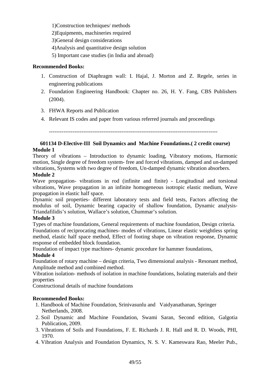1)Construction techniques/ methods

2)Equipments, machineries required

3)General design considerations

- 4)Analysis and quantitative design solution
- 5) Important case studies (in India and abroad)

## **Recommended Books:**

- 1. Construction of Diaphragm wall: I. Hajal, J. Morton and Z. Regele, series in engineering publications
- 2. Foundation Engineering Handbook: Chapter no. 26, H. Y. Fang, CBS Publishers (2004).
- 3. FHWA Reports and Publication
- 4. Relevant IS codes and paper from various referred journals and proceedings

*---------------------------------------------------------------------------------------------* 

## **601134 D-Elective-III Soil Dynamics and Machine Foundations.( 2 credit course) Module 1**

Theory of vibrations – Introduction to dynamic loading, Vibratory motions, Harmonic motion, Single degree of freedom system- free and forced vibrations, damped and un-damped vibrations, Systems with two degree of freedom, Un-damped dynamic vibration absorbers.

## **Module 2**

Wave propagation- vibrations in rod (infinite and finite) - Longitudinal and torsional vibrations, Wave propagation in an infinite homogeneous isotropic elastic medium, Wave propagation in elastic half space.

Dynamic soil properties- different laboratory tests and field tests, Factors affecting the modulus of soil, Dynamic bearing capacity of shallow foundation, Dynamic analysis-Triandafilidis's solution, Wallace's solution, Chummar's solution.

## **Module 3**

Types of machine foundations, General requirements of machine foundation, Design criteria. Foundations of reciprocating machines- modes of vibrations, Linear elastic weightless spring method, elastic half space method, Effect of footing shape on vibration response, Dynamic response of embedded block foundation.

Foundation of impact type machines- dynamic procedure for hammer foundations,

## **Module 4**

Foundation of rotary machine – design criteria, Two dimensional analysis - Resonant method, Amplitude method and combined method.

Vibration isolation- methods of isolation in machine foundations, Isolating materials and their properties

Constructional details of machine foundations

- 1. Handbook of Machine Foundation, Srinivasunlu and Vaidyanathanan, Springer Netherlands, 2008.
- 2. Soil Dynamic and Machine Foundation, Swami Saran, Second edition, Galgotia Publication, 2009.
- 3. Vibrations of Soils and Foundations, F. E. Richards J. R. Hall and R. D. Woods, PHI, 1970.
- 4. Vibration Analysis and Foundation Dynamics, N. S. V. Kameswara Rao, Meeler Pub.,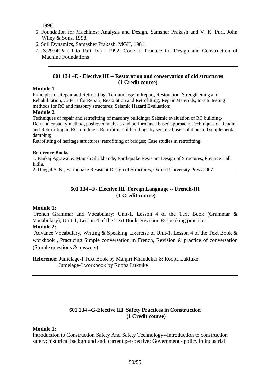1998.

- 5. Foundation for Machines: Analysis and Design, Samsher Prakash and V. K. Puri, John Wiley & Sons, 1998.
- 6. Soil Dynamics, Samasher Prakash, MGH, 1981.
- 7. IS:2974(Part I to Part IV) : 1992; Code of Practice for Design and Construction of Machine Foundations

## **601 134 –E - Elective III -- Restoration and conservation of old structures (1 Credit course)**

#### **Module 1**

Principles of Repair and Retrofitting, Terminology in Repair, Restoration, Strengthening and Rehabilitation, Criteria for Repair, Restoration and Retrofitting; Repair Materials; In-situ testing methods for RC and masonry structures; Seismic Hazard Evaluation;

#### **Module 2**

Techniques of repair and retrofitting of masonry buildings; Seismic evaluation of RC building-Demand capacity method, pushover analysis and performance based approach; Techniques of Repair and Retrofitting in RC buildings; Retrofitting of buildings by seismic base isolation and supplemental damping;

Retrofitting of heritage structures; retrofitting of bridges; Case studies in retrofitting.

#### **Reference Books**:

1. Pankaj Agrawal & Manish Shrikhande, Earthquake Resistant Design of Structures, Prentice Hall India.

2. Duggal S. K., Earthquake Resistant Design of Structures, Oxford University Press 2007

## **601 134 –F- Elective III Foregn Language -- French-III (1 Credit course)**

#### **Module 1:**

French Grammar and Vocabulary: Unit-1, Lesson 4 of the Text Book (Grammar & Vocabulary), Unit-1, Lesson 4 of the Text Book, Revision & speaking practice

## **Module 2:**

 Advance Vocabulary, Writing & Speaking, Exercise of Unit-1, Lesson 4 of the Text Book & workbook, Practicing Simple conversation in French, Revision & practice of conversation (Simple questions & answers)

**Reference:** Jumelage-I Text Book by Manjiri Khandekar & Roopa Luktuke Jumelage-I workbook by Roopa Luktuke

## **601 134 –G-Elective III Safety Practices in Construction (1 Credit course)**

#### **Module 1:**

Introduction to Construction Safety And Safety Technology--Introduction to construction safety; historical background and current perspective; Government's policy in industrial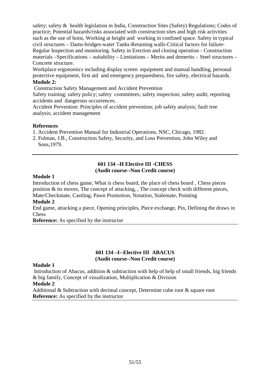safety; safety & health legislation in India, Construction Sites (Safety) Regulations; Codes of practice; Potential hazards/risks associated with construction sites and high risk activities such as the use of hoist, Working at height and working in confined space. Safety in typical civil structures – Dams-bridges-water Tanks-Retaining walls-Critical factors for failure-Regular Inspection and monitoring. Safety in Erection and closing operation - Construction materials –Specifications – suitability – Limitations – Merits and demerits – Steel structures – Concrete structure.

Workplace ergonomics including display screen equipment and manual handling, personal protective equipment, first aid and emergency preparedness, fire safety, electrical hazards. **Module 2:**

Construction Safety Management and Accident Prevention

Safety training; safety policy; safety committees; safety inspection; safety audit; reporting accidents and dangerous occurrences.

Accident Prevention: Principles of accident prevention; job safety analysis; fault tree analysis; accident management

## **References**

1. Accident Prevention Manual for Industrial Operations, NSC, Chicago, 1982.

2. Fulman, J.B., Construction Safety, Security, and Loss Prevention, John Wiley and Sons,1979.

#### **601 134 –H Elective III -CHESS (Audit course--Non Credit course)**

## **Module 1**

Introduction of chess game, What is chess board, the place of chess board , Chess pieces position & its moves, The concept of attacking, , The concept check with different pieces, Mate/Checkmate, Castling, Pawn Promotion, Notation, Stalemate, Pointing

## **Module 2**

End game, attacking a piece, Opening principles, Piece exchange, Pin, Defining the draws in Chess

**Reference:** As specified by the instructor

## **601 134 –I--Elective III ABACUS (Audit course--Non Credit course)**

### **Module 1**

 Introduction of Abacus, addition & subtraction with help of help of small friends, big friends & big family, Concept of visualization, Multiplication & Division

#### **Module 2**

Additional & Subtraction with decimal concept, Determine cube root & square root **Reference:** As specified by the instructor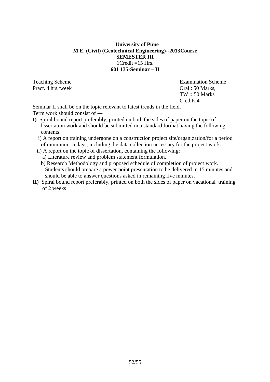## **University of Pune M.E. (Civil) (Geotechnical Engineering)--2013Course SEMESTER III**   $1C$ redit =15 Hrs. **601 135-Seminar – II**

Pract. 4 hrs./week Oral : 50 Marks,

Teaching Scheme **Examination** Scheme TW :: 50 Marks Credits 4

Seminar II shall be on the topic relevant to latest trends in the field. Term work should consist of ---

- **I)** Spiral bound report preferably, printed on both the sides of paper on the topic of dissertation work and should be submitted in a standard format having the following contents.
	- i) A report on training undergone on a construction project site/organization/for a period of minimum 15 days, including the data collection necessary for the project work.
	- ii) A report on the topic of dissertation, containing the following:
		- a) Literature review and problem statement formulation.
		- b) Research Methodology and proposed schedule of completion of project work. Students should prepare a power point presentation to be delivered in 15 minutes and should be able to answer questions asked in remaining five minutes.
- **II)** Spiral bound report preferably, printed on both the sides of paper on vacational training of 2 weeks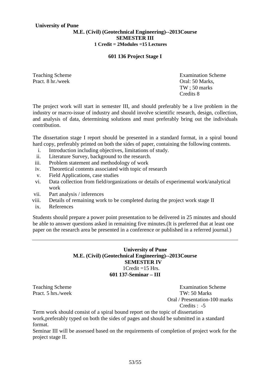## **University of Pune**

#### **M.E. (Civil) (Geotechnical Engineering)--2013Course SEMESTER III 1 Credit = 2Modules =15 Lectures**

#### **601 136 Project Stage I**

Pract. 8 hr./week **Oral: 50 Marks**,

Teaching Scheme **Examination** Scheme **Examination** Scheme TW ; 50 marks Credits 8

The project work will start in semester III, and should preferably be a live problem in the industry or macro-issue of industry and should involve scientific research, design, collection, and analysis of data, determining solutions and must preferably bring out the individuals contribution.

The dissertation stage I report should be presented in a standard format, in a spiral bound hard copy, preferably printed on both the sides of paper, containing the following contents.

- i. Introduction including objectives, limitations of study.
- ii. Literature Survey, background to the research.
- iii. Problem statement and methodology of work
- iv. Theoretical contents associated with topic of research
- v. Field Applications, case studies
- vi. Data collection from field/organizations or details of experimental work/analytical work
- vii. Part analysis / inferences
- viii. Details of remaining work to be completed during the project work stage II
- ix. References

Students should prepare a power point presentation to be delivered in 25 minutes and should be able to answer questions asked in remaining five minutes.(It is preferred that at least one paper on the research area be presented in a conference or published in a referred journal.)

## **University of Pune M.E. (Civil) (Geotechnical Engineering)--2013Course SEMESTER IV**   $1Credit = 15 Hrs.$ **601 137-Seminar – III**

Teaching Scheme **Examination** Scheme Pract. 5 hrs./week TW: 50 Marks Oral / Presentation-100 marks Credits : -5

Term work should consist of a spiral bound report on the topic of dissertation work,preferably typed on both the sides of pages and should be submitted in a standard format.

Seminar III will be assessed based on the requirements of completion of project work for the project stage II.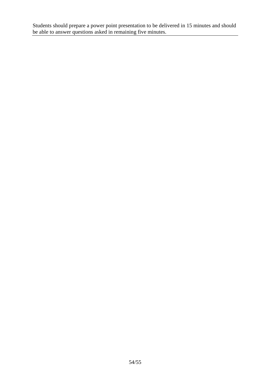Students should prepare a power point presentation to be delivered in 15 minutes and should be able to answer questions asked in remaining five minutes.